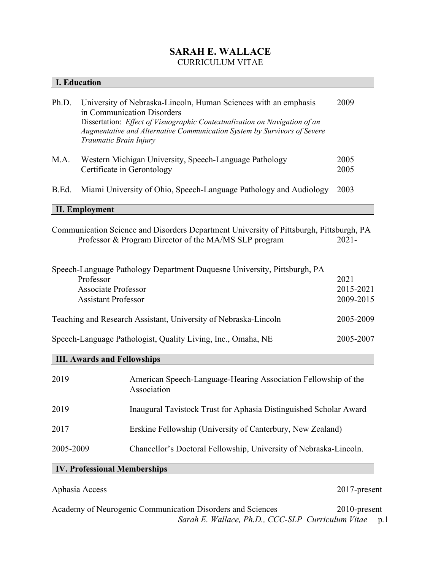## **SARAH E. WALLACE** CURRICULUM VITAE

| <b>I. Education</b> |                                                                                                                                                                                                                                                                                          |              |
|---------------------|------------------------------------------------------------------------------------------------------------------------------------------------------------------------------------------------------------------------------------------------------------------------------------------|--------------|
| Ph.D.               | University of Nebraska-Lincoln, Human Sciences with an emphasis<br>in Communication Disorders<br>Dissertation: <i>Effect of Visuographic Contextualization on Navigation of an</i><br>Augmentative and Alternative Communication System by Survivors of Severe<br>Traumatic Brain Injury | 2009         |
| M.A.                | Western Michigan University, Speech-Language Pathology<br>Certificate in Gerontology                                                                                                                                                                                                     | 2005<br>2005 |
| B.Ed.               | Miami University of Ohio, Speech-Language Pathology and Audiology                                                                                                                                                                                                                        | 2003         |
| II. Employment      |                                                                                                                                                                                                                                                                                          |              |

Communication Science and Disorders Department University of Pittsburgh, Pittsburgh, PA Professor & Program Director of the MA/MS SLP program 2021-

| Speech-Language Pathology Department Duquesne University, Pittsburgh, PA |           |
|--------------------------------------------------------------------------|-----------|
| Professor                                                                | 2021      |
| <b>Associate Professor</b>                                               | 2015-2021 |
| <b>Assistant Professor</b>                                               | 2009-2015 |
| Teaching and Research Assistant, University of Nebraska-Lincoln          | 2005-2009 |
| Speech-Language Pathologist, Quality Living, Inc., Omaha, NE             | 2005-2007 |

## **III. Awards and Fellowships**

| 2019      | American Speech-Language-Hearing Association Fellowship of the<br>Association |
|-----------|-------------------------------------------------------------------------------|
| 2019      | Inaugural Tavistock Trust for Aphasia Distinguished Scholar Award             |
| 2017      | Erskine Fellowship (University of Canterbury, New Zealand)                    |
| 2005-2009 | Chancellor's Doctoral Fellowship, University of Nebraska-Lincoln.             |

## **IV. Professional Memberships**

# Aphasia Access 2017-present

*Sarah E. Wallace, Ph.D., CCC-SLP Curriculum Vitae* p*.*1 Academy of Neurogenic Communication Disorders and Sciences 2010-present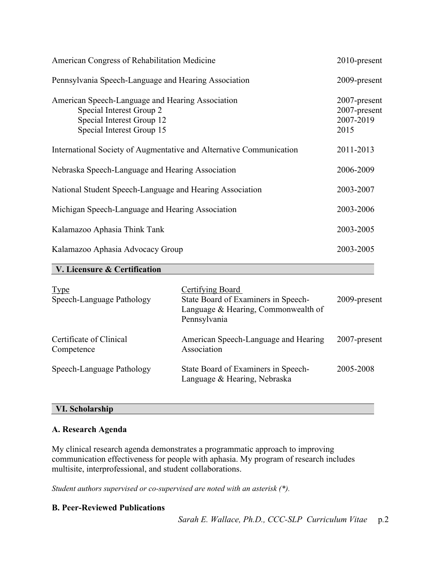| American Congress of Rehabilitation Medicine                                                                                           | 2010-present                                         |
|----------------------------------------------------------------------------------------------------------------------------------------|------------------------------------------------------|
| Pennsylvania Speech-Language and Hearing Association                                                                                   | 2009-present                                         |
| American Speech-Language and Hearing Association<br>Special Interest Group 2<br>Special Interest Group 12<br>Special Interest Group 15 | $2007$ -present<br>2007-present<br>2007-2019<br>2015 |
| International Society of Augmentative and Alternative Communication                                                                    | 2011-2013                                            |
| Nebraska Speech-Language and Hearing Association                                                                                       | 2006-2009                                            |
| National Student Speech-Language and Hearing Association                                                                               | 2003-2007                                            |
| Michigan Speech-Language and Hearing Association                                                                                       | 2003-2006                                            |
| Kalamazoo Aphasia Think Tank                                                                                                           | 2003-2005                                            |
| Kalamazoo Aphasia Advocacy Group                                                                                                       | 2003-2005                                            |

#### **V. Licensure & Certification**

| <b>Type</b><br>Speech-Language Pathology | <b>Certifying Board</b><br>State Board of Examiners in Speech-<br>Language & Hearing, Commonwealth of<br>Pennsylvania | 2009-present |
|------------------------------------------|-----------------------------------------------------------------------------------------------------------------------|--------------|
| Certificate of Clinical<br>Competence    | American Speech-Language and Hearing<br>Association                                                                   | 2007-present |
| Speech-Language Pathology                | State Board of Examiners in Speech-<br>Language & Hearing, Nebraska                                                   | 2005-2008    |

#### **VI. Scholarship**

#### **A. Research Agenda**

My clinical research agenda demonstrates a programmatic approach to improving communication effectiveness for people with aphasia. My program of research includes multisite, interprofessional, and student collaborations.

*Student authors supervised or co-supervised are noted with an asterisk (\*).*

#### **B. Peer-Reviewed Publications**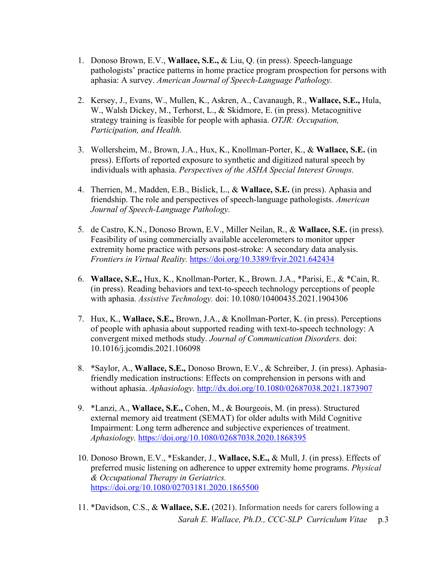- 1. Donoso Brown, E.V., **Wallace, S.E.,** & Liu, Q. (in press). Speech-language pathologists' practice patterns in home practice program prospection for persons with aphasia: A survey. *American Journal of Speech-Language Pathology.*
- 2. Kersey, J., Evans, W., Mullen, K., Askren, A., Cavanaugh, R., **Wallace, S.E.,** Hula, W., Walsh Dickey, M., Terhorst, L., & Skidmore, E. (in press). Metacognitive strategy training is feasible for people with aphasia. *OTJR: Occupation, Participation, and Health.*
- 3. Wollersheim, M., Brown, J.A., Hux, K., Knollman-Porter, K., & **Wallace, S.E.** (in press). Efforts of reported exposure to synthetic and digitized natural speech by individuals with aphasia. *Perspectives of the ASHA Special Interest Groups.*
- 4. Therrien, M., Madden, E.B., Bislick, L., & **Wallace, S.E.** (in press). Aphasia and friendship. The role and perspectives of speech-language pathologists. *American Journal of Speech-Language Pathology.*
- 5. de Castro, K.N., Donoso Brown, E.V., Miller Neilan, R., & **Wallace, S.E.** (in press). Feasibility of using commercially available accelerometers to monitor upper extremity home practice with persons post-stroke: A secondary data analysis. *Frontiers in Virtual Reality.* <https://doi.org/10.3389/frvir.2021.642434>
- 6. **Wallace, S.E.,** Hux, K., Knollman-Porter, K., Brown. J.A., \*Parisi, E., & \*Cain, R. (in press). Reading behaviors and text-to-speech technology perceptions of people with aphasia. *Assistive Technology.* doi: 10.1080/10400435.2021.1904306
- 7. Hux, K., **Wallace, S.E.,** Brown, J.A., & Knollman-Porter, K. (in press). Perceptions of people with aphasia about supported reading with text-to-speech technology: A convergent mixed methods study. *Journal of Communication Disorders.* doi: 10.1016/j.jcomdis.2021.106098
- 8. \*Saylor, A., **Wallace, S.E.,** Donoso Brown, E.V., & Schreiber, J. (in press). Aphasiafriendly medication instructions: Effects on comprehension in persons with and without aphasia. *Aphasiology.* [http://dx.doi.org/10.1080/02687038.2021.1873907](https://nam02.safelinks.protection.outlook.com/?url=http%3A%2F%2Fdx.doi.org%2F10.1080%2F02687038.2021.1873907&data=04%7C01%7Cwallaces%40duq.edu%7C6c039f6931124d3e0dee08d8b6fb9b99%7C12c44311cf844e4195c38df690b1eb61%7C0%7C0%7C637460539055634126%7CUnknown%7CTWFpbGZsb3d8eyJWIjoiMC4wLjAwMDAiLCJQIjoiV2luMzIiLCJBTiI6Ik1haWwiLCJXVCI6Mn0%3D%7C1000&sdata=lP0VDjaeNdqKxDzC0OZmi6f206LZuTQ8W08nDKYcG%2Bc%3D&reserved=0)
- 9. \*Lanzi, A., **Wallace, S.E.,** Cohen, M., & Bourgeois, M. (in press). Structured external memory aid treatment (SEMAT) for older adults with Mild Cognitive Impairment: Long term adherence and subjective experiences of treatment. *Aphasiology.* <https://doi.org/10.1080/02687038.2020.1868395>
- 10. Donoso Brown, E.V., \*Eskander, J., **Wallace, S.E.,** & Mull, J. (in press). Effects of preferred music listening on adherence to upper extremity home programs. *Physical & Occupational Therapy in Geriatrics.* <https://doi.org/10.1080/02703181.2020.1865500>
- *Sarah E. Wallace, Ph.D., CCC-SLP Curriculum Vitae* p*.*3 11. \*Davidson, C.S., & **Wallace, S.E.** (2021). Information needs for carers following a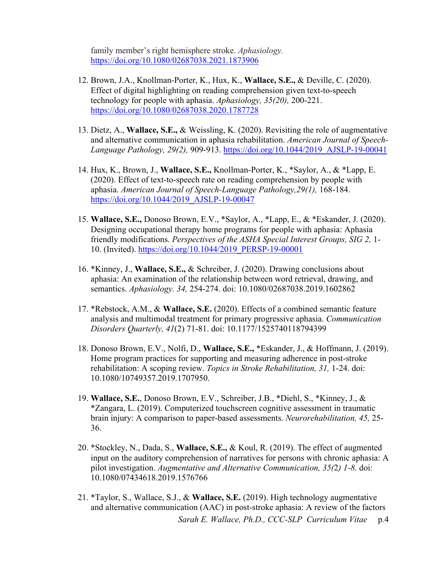family member's right hemisphere stroke. *Aphasiology.*  <https://doi.org/10.1080/02687038.2021.1873906>

- 12. Brown, J.A., Knollman-Porter, K., Hux, K., **Wallace, S.E.,** & Deville, C. (2020). Effect of digital highlighting on reading comprehension given text-to-speech technology for people with aphasia. *Aphasiology, 35(20),* 200-221. <https://doi.org/10.1080/02687038.2020.1787728>
- 13. Dietz, A., **Wallace, S.E.,** & Weissling, K. (2020). Revisiting the role of augmentative and alternative communication in aphasia rehabilitation. *American Journal of Speech-Language Pathology, 29(2),* 909-913. [https://doi.org/10.1044/2019\\_AJSLP-19-00041](https://doi.org/10.1044/2019_AJSLP-19-00041)
- 14. Hux, K., Brown, J., **Wallace, S.E.,** Knollman-Porter, K., \*Saylor, A., & \*Lapp, E. (2020). Effect of text-to-speech rate on reading comprehension by people with aphasia. *American Journal of Speech-Language Pathology,29(1),* 168-184. [https://doi.org/10.1044/2019\\_AJSLP-19-00047](https://doi.org/10.1044/2019_AJSLP-19-00047)
- 15. **Wallace, S.E.,** Donoso Brown, E.V., \*Saylor, A., \*Lapp, E., & \*Eskander, J. (2020). Designing occupational therapy home programs for people with aphasia: Aphasia friendly modifications. *Perspectives of the ASHA Special Interest Groups, SIG 2,* 1- 10. (Invited). [https://doi.org/10.1044/2019\\_PERSP-19-00001](https://doi.org/10.1044/2019_PERSP-19-00001)
- 16. \*Kinney, J., **Wallace, S.E.,** & Schreiber, J. (2020). Drawing conclusions about aphasia: An examination of the relationship between word retrieval, drawing, and semantics. *Aphasiology. 34,* 254-274. doi: 10.1080/02687038.2019.1602862
- 17. \*Rebstock, A.M., & **Wallace, S.E.** (2020). Effects of a combined semantic feature analysis and multimodal treatment for primary progressive aphasia. *Communication Disorders Quarterly, 41*(2) 71-81. doi: 10.1177/1525740118794399
- 18. Donoso Brown, E.V., Nolfi, D., **Wallace, S.E.,** \*Eskander, J., & Hoffmann, J. (2019). Home program practices for supporting and measuring adherence in post-stroke rehabilitation: A scoping review. *Topics in Stroke Rehabilitation, 31,* 1-24. doi: 10.1080/10749357.2019.1707950.
- 19. **Wallace, S.E.**, Donoso Brown, E.V., Schreiber, J.B., \*Diehl, S., \*Kinney, J., & \*Zangara, L. (2019). Computerized touchscreen cognitive assessment in traumatic brain injury: A comparison to paper-based assessments. *Neurorehabilitation, 45,* 25- 36.
- 20. \*Stockley, N., Dada, S., **Wallace, S.E.,** & Koul, R. (2019). The effect of augmented input on the auditory comprehension of narratives for persons with chronic aphasia: A pilot investigation. *Augmentative and Alternative Communication, 35(*2*) 1-8.* doi: 10.1080/07434618.2019.1576766
- *Sarah E. Wallace, Ph.D., CCC-SLP Curriculum Vitae* p*.*4 21. \*Taylor, S., Wallace, S.J., & **Wallace, S.E.** (2019). High technology augmentative and alternative communication (AAC) in post-stroke aphasia: A review of the factors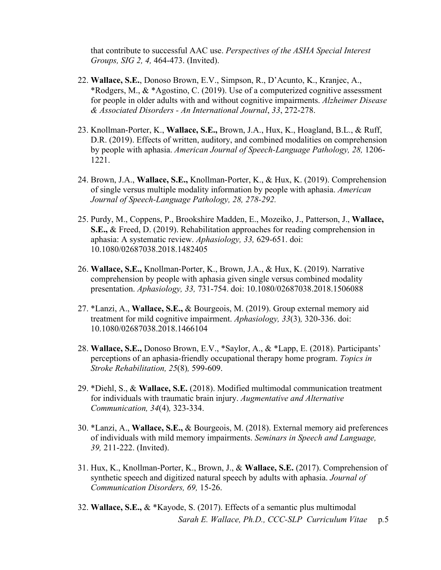that contribute to successful AAC use. *Perspectives of the ASHA Special Interest Groups, SIG 2, 4,* 464-473. (Invited).

- 22. **Wallace, S.E.**, Donoso Brown, E.V., Simpson, R., D'Acunto, K., Kranjec, A., \*Rodgers, M., & \*Agostino, C. (2019). Use of a computerized cognitive assessment for people in older adults with and without cognitive impairments. *Alzheimer Disease & Associated Disorders - An International Journal*, *33*, 272-278.
- 23. Knollman-Porter, K., **Wallace, S.E.,** Brown, J.A., Hux, K., Hoagland, B.L., & Ruff, D.R. (2019). Effects of written, auditory, and combined modalities on comprehension by people with aphasia. *American Journal of Speech-Language Pathology, 28,* 1206- 1221.
- 24. Brown, J.A., **Wallace, S.E.,** Knollman-Porter, K., & Hux, K. (2019). Comprehension of single versus multiple modality information by people with aphasia. *American Journal of Speech-Language Pathology, 28, 278-292.*
- 25. Purdy, M., Coppens, P., Brookshire Madden, E., Mozeiko, J., Patterson, J., **Wallace, S.E.,** & Freed, D. (2019). Rehabilitation approaches for reading comprehension in aphasia: A systematic review. *Aphasiology, 33,* 629-651. doi: 10.1080/02687038.2018.1482405
- 26. **Wallace, S.E.,** Knollman-Porter, K., Brown, J.A., & Hux, K. (2019). Narrative comprehension by people with aphasia given single versus combined modality presentation. *Aphasiology, 33,* 731-754. doi: 10.1080/02687038.2018.1506088
- 27. \*Lanzi, A., **Wallace, S.E.,** & Bourgeois, M. (2019). Group external memory aid treatment for mild cognitive impairment. *Aphasiology, 33*(3)*,* 320-336. doi: 10.1080/02687038.2018.1466104
- 28. **Wallace, S.E.,** Donoso Brown, E.V., \*Saylor, A., & \*Lapp, E. (2018). Participants' perceptions of an aphasia-friendly occupational therapy home program. *Topics in Stroke Rehabilitation, 25*(8)*,* 599-609.
- 29. \*Diehl, S., & **Wallace, S.E.** (2018). Modified multimodal communication treatment for individuals with traumatic brain injury. *Augmentative and Alternative Communication, 34*(4)*,* 323-334.
- 30. \*Lanzi, A., **Wallace, S.E.,** & Bourgeois, M. (2018). External memory aid preferences of individuals with mild memory impairments. *Seminars in Speech and Language, 39,* 211-222. (Invited).
- 31. Hux, K., Knollman-Porter, K., Brown, J., & **Wallace, S.E.** (2017). Comprehension of synthetic speech and digitized natural speech by adults with aphasia. *Journal of Communication Disorders, 69,* 15-26.
- *Sarah E. Wallace, Ph.D., CCC-SLP Curriculum Vitae* p*.*5 32. **Wallace, S.E.,** & \*Kayode, S. (2017). Effects of a semantic plus multimodal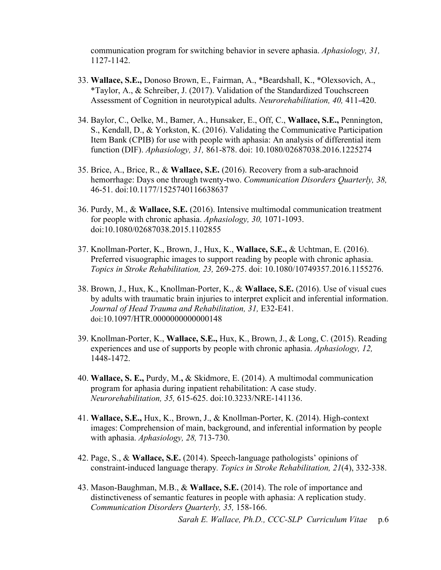communication program for switching behavior in severe aphasia. *Aphasiology, 31,* 1127-1142.

- 33. **Wallace, S.E.,** Donoso Brown, E., Fairman, A., \*Beardshall, K., \*Olexsovich, A., \*Taylor, A., & Schreiber, J. (2017). Validation of the Standardized Touchscreen Assessment of Cognition in neurotypical adults. *Neurorehabilitation, 40,* 411-420.
- 34. Baylor, C., Oelke, M., Bamer, A., Hunsaker, E., Off, C., **Wallace, S.E.,** Pennington, S., Kendall, D., & Yorkston, K. (2016). Validating the Communicative Participation Item Bank (CPIB) for use with people with aphasia: An analysis of differential item function (DIF). *Aphasiology, 31,* 861-878. doi: 10.1080/02687038.2016.1225274
- 35. Brice, A., Brice, R., & **Wallace, S.E.** (2016). Recovery from a sub-arachnoid hemorrhage: Days one through twenty-two. *Communication Disorders Quarterly, 38,*  46-51. doi:10.1177/1525740116638637
- 36. Purdy, M., & **Wallace, S.E.** (2016). Intensive multimodal communication treatment for people with chronic aphasia. *Aphasiology, 30,* 1071-1093. doi:10.1080/02687038.2015.1102855
- 37. Knollman-Porter, K., Brown, J., Hux, K., **Wallace, S.E.,** & Uchtman, E. (2016). Preferred visuographic images to support reading by people with chronic aphasia. *Topics in Stroke Rehabilitation, 23,* 269-275. doi: 10.1080/10749357.2016.1155276.
- 38. Brown, J., Hux, K., Knollman-Porter, K., & **Wallace, S.E.** (2016). Use of visual cues by adults with traumatic brain injuries to interpret explicit and inferential information. *Journal of Head Trauma and Rehabilitation, 31,* E32-E41. doi:10.1097/HTR.0000000000000148
- 39. Knollman-Porter, K., **Wallace, S.E.,** Hux, K., Brown, J., & Long, C. (2015). Reading experiences and use of supports by people with chronic aphasia. *Aphasiology, 12,*  1448-1472.
- 40. **Wallace, S. E.,** Purdy, M.**,** & Skidmore, E. (2014). A multimodal communication program for aphasia during inpatient rehabilitation: A case study. *Neurorehabilitation, 35,* 615-625. doi:10.3233/NRE-141136.
- 41. **Wallace, S.E.,** Hux, K., Brown, J., & Knollman-Porter, K. (2014). High-context images: Comprehension of main, background, and inferential information by people with aphasia. *Aphasiology, 28,* 713-730.
- 42. Page, S., & **Wallace, S.E.** (2014). Speech-language pathologists' opinions of constraint-induced language therapy*. Topics in Stroke Rehabilitation, 21*(4), 332-338.
- 43. Mason-Baughman, M.B., & **Wallace, S.E.** (2014). The role of importance and distinctiveness of semantic features in people with aphasia: A replication study. *Communication Disorders Quarterly, 35,* 158-166.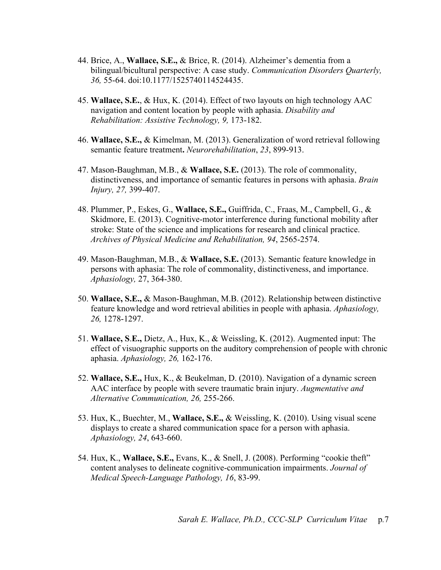- 44. Brice, A., **Wallace, S.E.,** & Brice, R. (2014). Alzheimer's dementia from a bilingual/bicultural perspective: A case study. *Communication Disorders Quarterly, 36,* 55-64. doi:10.1177/1525740114524435.
- 45. **Wallace, S.E.**, & Hux, K. (2014). Effect of two layouts on high technology AAC navigation and content location by people with aphasia. *Disability and Rehabilitation: Assistive Technology, 9,* 173-182.
- 46. **Wallace, S.E.,** & Kimelman, M. (2013). Generalization of word retrieval following semantic feature treatment**.** *Neurorehabilitation*, *23*, 899-913.
- 47. Mason-Baughman, M.B., & **Wallace, S.E.** (2013). The role of commonality, distinctiveness, and importance of semantic features in persons with aphasia. *Brain Injury, 27,* 399-407.
- 48. Plummer, P., Eskes, G., **Wallace, S.E.,** Guiffrida, C., Fraas, M., Campbell, G., & Skidmore, E. (2013). Cognitive-motor interference during functional mobility after stroke: State of the science and implications for research and clinical practice. *Archives of Physical Medicine and Rehabilitation, 94*, 2565-2574.
- 49. Mason-Baughman, M.B., & **Wallace, S.E.** (2013). Semantic feature knowledge in persons with aphasia: The role of commonality, distinctiveness, and importance. *Aphasiology,* 27, 364-380.
- 50. **Wallace, S.E.,** & Mason-Baughman, M.B. (2012). Relationship between distinctive feature knowledge and word retrieval abilities in people with aphasia. *Aphasiology, 26,* 1278-1297.
- 51. **Wallace, S**.**E.,** Dietz, A., Hux, K., & Weissling, K. (2012). Augmented input: The effect of visuographic supports on the auditory comprehension of people with chronic aphasia. *Aphasiology, 26,* 162-176.
- 52. **Wallace, S.E.,** Hux, K., & Beukelman, D. (2010). Navigation of a dynamic screen AAC interface by people with severe traumatic brain injury. *Augmentative and Alternative Communication, 26,* 255-266.
- 53. Hux, K., Buechter, M., **Wallace, S.E.,** & Weissling, K. (2010). Using visual scene displays to create a shared communication space for a person with aphasia. *Aphasiology, 24*, 643-660.
- 54. Hux, K., **Wallace, S.E.,** Evans, K., & Snell, J. (2008). Performing "cookie theft" content analyses to delineate cognitive-communication impairments. *Journal of Medical Speech-Language Pathology, 16*, 83-99.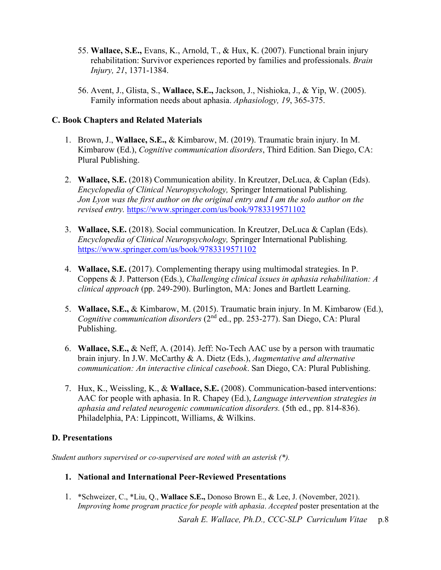- 55. **Wallace, S.E.,** Evans, K., Arnold, T., & Hux, K. (2007). Functional brain injury rehabilitation: Survivor experiences reported by families and professionals. *Brain Injury, 21*, 1371-1384.
- 56. Avent, J., Glista, S., **Wallace, S.E.,** Jackson, J., Nishioka, J., & Yip, W. (2005). Family information needs about aphasia. *Aphasiology, 19*, 365-375.

## **C. Book Chapters and Related Materials**

- 1. Brown, J., **Wallace, S.E.,** & Kimbarow, M. (2019). Traumatic brain injury. In M. Kimbarow (Ed.), *Cognitive communication disorders*, Third Edition. San Diego, CA: Plural Publishing.
- 2. **Wallace, S.E.** (2018) Communication ability. In Kreutzer, DeLuca, & Caplan (Eds). *Encyclopedia of Clinical Neuropsychology,* Springer International Publishing*. Jon Lyon was the first author on the original entry and I am the solo author on the revised entry.* <https://www.springer.com/us/book/9783319571102>
- 3. **Wallace, S.E.** (2018). Social communication. In Kreutzer, DeLuca & Caplan (Eds). *Encyclopedia of Clinical Neuropsychology,* Springer International Publishing*.*  <https://www.springer.com/us/book/9783319571102>
- 4. **Wallace, S.E.** (2017). Complementing therapy using multimodal strategies. In P. Coppens & J. Patterson (Eds.), *Challenging clinical issues in aphasia rehabilitation: A clinical approach* (pp. 249-290). Burlington, MA: Jones and Bartlett Learning.
- 5. **Wallace, S.E.,** & Kimbarow, M. (2015). Traumatic brain injury. In M. Kimbarow (Ed.), *Cognitive communication disorders* (2nd ed., pp. 253-277). San Diego, CA: Plural Publishing.
- 6. **Wallace, S.E.,** & Neff, A. (2014). Jeff: No-Tech AAC use by a person with traumatic brain injury. In J.W. McCarthy & A. Dietz (Eds.), *Augmentative and alternative communication: An interactive clinical casebook*. San Diego, CA: Plural Publishing.
- 7. Hux, K., Weissling, K., & **Wallace, S.E.** (2008). Communication-based interventions: AAC for people with aphasia. In R. Chapey (Ed.), *Language intervention strategies in aphasia and related neurogenic communication disorders.* (5th ed., pp. 814-836). Philadelphia, PA: Lippincott, Williams, & Wilkins.

## **D. Presentations**

*Student authors supervised or co-supervised are noted with an asterisk (\*).*

## **1. National and International Peer-Reviewed Presentations**

1. \*Schweizer, C., \*Liu, Q., **Wallace S.E.,** Donoso Brown E., & Lee, J. (November, 2021). *Improving home program practice for people with aphasia*. *Accepted* poster presentation at the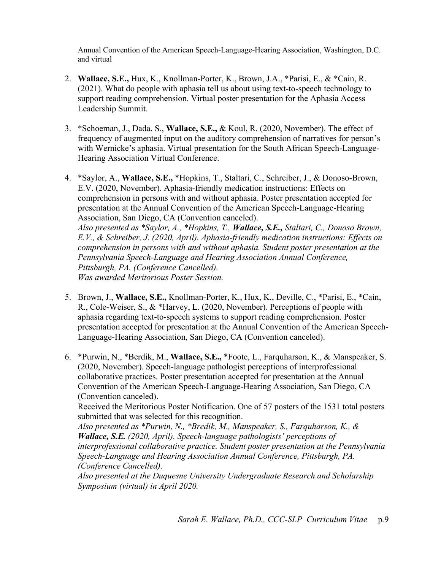Annual Convention of the American Speech-Language-Hearing Association, Washington, D.C. and virtual

- 2. **Wallace, S.E.,** Hux, K., Knollman-Porter, K., Brown, J.A., \*Parisi, E., & \*Cain, R. (2021). What do people with aphasia tell us about using text-to-speech technology to support reading comprehension. Virtual poster presentation for the Aphasia Access Leadership Summit.
- 3. \*Schoeman, J., Dada, S., **Wallace, S.E.,** & Koul, R. (2020, November). The effect of frequency of augmented input on the auditory comprehension of narratives for person's with Wernicke's aphasia. Virtual presentation for the South African Speech-Language-Hearing Association Virtual Conference.
- 4. \*Saylor, A., **Wallace, S.E.,** \*Hopkins, T., Staltari, C., Schreiber, J., & Donoso-Brown, E.V. (2020, November). Aphasia-friendly medication instructions: Effects on comprehension in persons with and without aphasia. Poster presentation accepted for presentation at the Annual Convention of the American Speech-Language-Hearing Association, San Diego, CA (Convention canceled). *Also presented as \*Saylor, A., \*Hopkins, T., Wallace, S.E., Staltari, C., Donoso Brown, E.V., & Schreiber, J. (2020, April). Aphasia-friendly medication instructions: Effects on comprehension in persons with and without aphasia. Student poster presentation at the Pennsylvania Speech-Language and Hearing Association Annual Conference, Pittsburgh, PA. (Conference Cancelled). Was awarded Meritorious Poster Session.*
- 5. Brown, J., **Wallace, S.E.,** Knollman-Porter, K., Hux, K., Deville, C., \*Parisi, E., \*Cain, R., Cole-Weiser, S., & \*Harvey, L. (2020, November). Perceptions of people with aphasia regarding text-to-speech systems to support reading comprehension. Poster presentation accepted for presentation at the Annual Convention of the American Speech-Language-Hearing Association, San Diego, CA (Convention canceled).
- 6. \*Purwin, N., \*Berdik, M., **Wallace, S.E.,** \*Foote, L., Farquharson, K., & Manspeaker, S. (2020, November). Speech-language pathologist perceptions of interprofessional collaborative practices. Poster presentation accepted for presentation at the Annual Convention of the American Speech-Language-Hearing Association, San Diego, CA (Convention canceled).

Received the Meritorious Poster Notification. One of 57 posters of the 1531 total posters submitted that was selected for this recognition.

*Also presented as \*Purwin, N., \*Bredik, M., Manspeaker, S., Farquharson, K., & Wallace, S.E. (2020, April). Speech-language pathologists' perceptions of interprofessional collaborative practice. Student poster presentation at the Pennsylvania Speech-Language and Hearing Association Annual Conference, Pittsburgh, PA. (Conference Cancelled).* 

*Also presented at the Duquesne University Undergraduate Research and Scholarship Symposium (virtual) in April 2020.*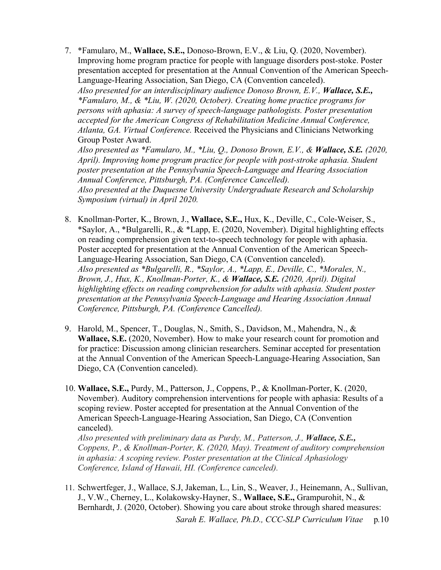- 7. \*Famularo, M., **Wallace, S.E.,** Donoso-Brown, E.V., & Liu, Q. (2020, November). Improving home program practice for people with language disorders post-stoke. Poster presentation accepted for presentation at the Annual Convention of the American Speech-Language-Hearing Association, San Diego, CA (Convention canceled). *Also presented for an interdisciplinary audience Donoso Brown, E.V., Wallace, S.E., \*Famularo, M., & \*Liu, W. (2020, October). Creating home practice programs for persons with aphasia: A survey of speech-language pathologists. Poster presentation accepted for the American Congress of Rehabilitation Medicine Annual Conference, Atlanta, GA. Virtual Conference.* Received the Physicians and Clinicians Networking Group Poster Award. *Also presented as \*Famularo, M., \*Liu, Q., Donoso Brown, E.V., & Wallace, S.E.* (2020, *April). Improving home program practice for people with post-stroke aphasia. Student poster presentation at the Pennsylvania Speech-Language and Hearing Association Annual Conference, Pittsburgh, PA. (Conference Cancelled). Also presented at the Duquesne University Undergraduate Research and Scholarship Symposium (virtual) in April 2020.*
- 8. Knollman-Porter, K., Brown, J., **Wallace, S.E.,** Hux, K., Deville, C., Cole-Weiser, S., \*Saylor, A., \*Bulgarelli, R., & \*Lapp, E. (2020, November). Digital highlighting effects on reading comprehension given text-to-speech technology for people with aphasia. Poster accepted for presentation at the Annual Convention of the American Speech-Language-Hearing Association, San Diego, CA (Convention canceled). *Also presented as \*Bulgarelli, R., \*Saylor, A., \*Lapp, E., Deville, C., \*Morales, N., Brown, J., Hux, K., Knollman-Porter, K., & Wallace, S.E. (2020, April). Digital highlighting effects on reading comprehension for adults with aphasia. Student poster presentation at the Pennsylvania Speech-Language and Hearing Association Annual Conference, Pittsburgh, PA. (Conference Cancelled).*
- 9. Harold, M., Spencer, T., Douglas, N., Smith, S., Davidson, M., Mahendra, N., & **Wallace, S.E.** (2020, November). How to make your research count for promotion and for practice: Discussion among clinician researchers. Seminar accepted for presentation at the Annual Convention of the American Speech-Language-Hearing Association, San Diego, CA (Convention canceled).
- 10. **Wallace, S.E.,** Purdy, M., Patterson, J., Coppens, P., & Knollman-Porter, K. (2020, November). Auditory comprehension interventions for people with aphasia: Results of a scoping review. Poster accepted for presentation at the Annual Convention of the American Speech-Language-Hearing Association, San Diego, CA (Convention canceled).

*Also presented with preliminary data as Purdy, M., Patterson, J., Wallace, S.E., Coppens, P., & Knollman-Porter, K. (2020, May). Treatment of auditory comprehension in aphasia: A scoping review. Poster presentation at the Clinical Aphasiology Conference, Island of Hawaii, HI. (Conference canceled).* 

11. Schwertfeger, J., Wallace, S.J, Jakeman, L., Lin, S., Weaver, J., Heinemann, A., Sullivan, J., V.W., Cherney, L., Kolakowsky-Hayner, S., **Wallace, S.E.,** Grampurohit, N., & Bernhardt, J. (2020, October). Showing you care about stroke through shared measures: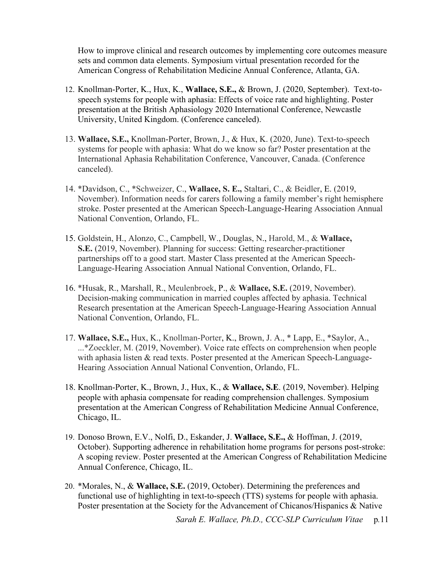How to improve clinical and research outcomes by implementing core outcomes measure sets and common data elements. Symposium virtual presentation recorded for the American Congress of Rehabilitation Medicine Annual Conference, Atlanta, GA.

- 12. Knollman-Porter, K., Hux, K., **Wallace, S.E.,** & Brown, J. (2020, September). Text-tospeech systems for people with aphasia: Effects of voice rate and highlighting. Poster presentation at the British Aphasiology 2020 International Conference, Newcastle University, United Kingdom. (Conference canceled).
- 13. **Wallace, S.E.,** Knollman-Porter, Brown, J., & Hux, K. (2020, June). Text-to-speech systems for people with aphasia: What do we know so far? Poster presentation at the International Aphasia Rehabilitation Conference, Vancouver, Canada. (Conference canceled).
- 14. \*Davidson, C., \*Schweizer, C., **Wallace, S. E.,** Staltari, C., & Beidler, E. (2019, November). Information needs for carers following a family member's right hemisphere stroke. Poster presented at the American Speech-Language-Hearing Association Annual National Convention, Orlando, FL.
- 15. Goldstein, H., Alonzo, C., Campbell, W., Douglas, N., Harold, M., & **Wallace, S.E.** (2019, November). Planning for success: Getting researcher-practitioner partnerships off to a good start. Master Class presented at the American Speech-Language-Hearing Association Annual National Convention, Orlando, FL.
- 16. \*Husak, R., Marshall, R., Meulenbroek, P., & **Wallace, S.E.** (2019, November). Decision-making communication in married couples affected by aphasia. Technical Research presentation at the American Speech-Language-Hearing Association Annual National Convention, Orlando, FL.
- 17. **Wallace, S.E.,** Hux, K., Knollman-Porter, K., Brown, J. A., \* Lapp, E., \*Saylor, A., ...\*Zoeckler, M. (2019, November). Voice rate effects on comprehension when people with aphasia listen & read texts. Poster presented at the American Speech-Language-Hearing Association Annual National Convention, Orlando, FL.
- 18. Knollman-Porter, K., Brown, J., Hux, K., & **Wallace, S.E**. (2019, November). Helping people with aphasia compensate for reading comprehension challenges. Symposium presentation at the American Congress of Rehabilitation Medicine Annual Conference, Chicago, IL.
- 19. Donoso Brown, E.V., Nolfi, D., Eskander, J. **Wallace, S.E.,** & Hoffman, J. (2019, October). Supporting adherence in rehabilitation home programs for persons post-stroke: A scoping review. Poster presented at the American Congress of Rehabilitation Medicine Annual Conference, Chicago, IL.
- 20. \*Morales, N., & **Wallace, S.E.** (2019, October). Determining the preferences and functional use of highlighting in text-to-speech (TTS) systems for people with aphasia. Poster presentation at the Society for the Advancement of Chicanos/Hispanics & Native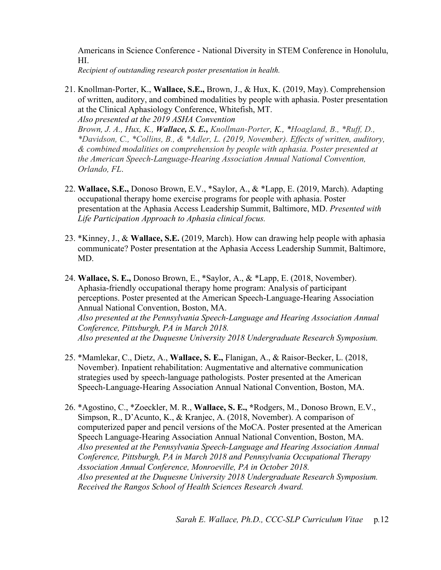Americans in Science Conference - National Diversity in STEM Conference in Honolulu, HI.

*Recipient of outstanding research poster presentation in health.* 

21. Knollman-Porter, K., **Wallace, S.E.,** Brown, J., & Hux, K. (2019, May). Comprehension of written, auditory, and combined modalities by people with aphasia. Poster presentation at the Clinical Aphasiology Conference, Whitefish, MT.

*Also presented at the 2019 ASHA Convention*

*Brown, J. A., Hux, K., Wallace, S. E., Knollman-Porter, K., \*Hoagland, B., \*Ruff, D., \*Davidson, C., \*Collins, B., & \*Adler, L. (2019, November). Effects of written, auditory, & combined modalities on comprehension by people with aphasia. Poster presented at the American Speech-Language-Hearing Association Annual National Convention, Orlando, FL*.

- 22. **Wallace, S.E.,** Donoso Brown, E.V., \*Saylor, A., & \*Lapp, E. (2019, March). Adapting occupational therapy home exercise programs for people with aphasia. Poster presentation at the Aphasia Access Leadership Summit, Baltimore, MD. *Presented with Life Participation Approach to Aphasia clinical focus.*
- 23. \*Kinney, J., & **Wallace, S.E.** (2019, March). How can drawing help people with aphasia communicate? Poster presentation at the Aphasia Access Leadership Summit, Baltimore, MD.
- 24. **Wallace, S. E.,** Donoso Brown, E., \*Saylor, A., & \*Lapp, E. (2018, November). Aphasia-friendly occupational therapy home program: Analysis of participant perceptions. Poster presented at the American Speech-Language-Hearing Association Annual National Convention, Boston, MA. *Also presented at the Pennsylvania Speech-Language and Hearing Association Annual Conference, Pittsburgh, PA in March 2018. Also presented at the Duquesne University 2018 Undergraduate Research Symposium.*
- 25. \*Mamlekar, C., Dietz, A., **Wallace, S. E.,** Flanigan, A., & Raisor-Becker, L. (2018, November). Inpatient rehabilitation: Augmentative and alternative communication strategies used by speech-language pathologists. Poster presented at the American Speech-Language-Hearing Association Annual National Convention, Boston, MA.
- 26. \*Agostino, C., \*Zoeckler, M. R., **Wallace, S. E., \***Rodgers, M., Donoso Brown, E.V., Simpson, R., D'Acunto, K., & Kranjec, A. (2018, November). A comparison of computerized paper and pencil versions of the MoCA. Poster presented at the American Speech Language-Hearing Association Annual National Convention, Boston, MA. *Also presented at the Pennsylvania Speech-Language and Hearing Association Annual Conference, Pittsburgh, PA in March 2018 and Pennsylvania Occupational Therapy Association Annual Conference, Monroeville, PA in October 2018. Also presented at the Duquesne University 2018 Undergraduate Research Symposium. Received the Rangos School of Health Sciences Research Award.*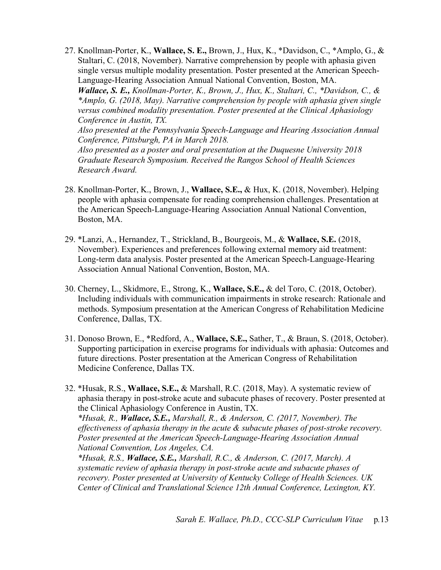27. Knollman-Porter, K., **Wallace, S. E.,** Brown, J., Hux, K., \*Davidson, C., \*Amplo, G., & Staltari, C. (2018, November). Narrative comprehension by people with aphasia given single versus multiple modality presentation. Poster presented at the American Speech-Language-Hearing Association Annual National Convention, Boston, MA.

*Wallace, S. E., Knollman-Porter, K., Brown, J., Hux, K., Staltari, C., \*Davidson, C., & \*Amplo, G. (2018, May). Narrative comprehension by people with aphasia given single versus combined modality presentation. Poster presented at the Clinical Aphasiology Conference in Austin, TX.* 

*Also presented at the Pennsylvania Speech-Language and Hearing Association Annual Conference, Pittsburgh, PA in March 2018.*

*Also presented as a poster and oral presentation at the Duquesne University 2018 Graduate Research Symposium. Received the Rangos School of Health Sciences Research Award.* 

- 28. Knollman-Porter, K., Brown, J., **Wallace, S.E.,** & Hux, K. (2018, November). Helping people with aphasia compensate for reading comprehension challenges. Presentation at the American Speech-Language-Hearing Association Annual National Convention, Boston, MA.
- 29. \*Lanzi, A., Hernandez, T., Strickland, B., Bourgeois, M., & **Wallace, S.E.** (2018, November). Experiences and preferences following external memory aid treatment: Long-term data analysis. Poster presented at the American Speech-Language-Hearing Association Annual National Convention, Boston, MA.
- 30. Cherney, L., Skidmore, E., Strong, K., **Wallace, S.E.,** & del Toro, C. (2018, October). Including individuals with communication impairments in stroke research: Rationale and methods. Symposium presentation at the American Congress of Rehabilitation Medicine Conference, Dallas, TX.
- 31. Donoso Brown, E., \*Redford, A., **Wallace, S.E.,** Sather, T., & Braun, S. (2018, October). Supporting participation in exercise programs for individuals with aphasia: Outcomes and future directions. Poster presentation at the American Congress of Rehabilitation Medicine Conference, Dallas TX.
- 32. \*Husak, R.S., **Wallace, S.E.,** & Marshall, R.C. (2018, May). A systematic review of aphasia therapy in post-stroke acute and subacute phases of recovery. Poster presented at the Clinical Aphasiology Conference in Austin, TX. *\*Husak, R., Wallace, S.E., Marshall, R., & Anderson, C. (2017, November). The effectiveness of aphasia therapy in the acute & subacute phases of post-stroke recovery.*

*Poster presented at the American Speech-Language-Hearing Association Annual National Convention, Los Angeles, CA.*

*\*Husak, R.S., Wallace, S.E., Marshall, R.C., & Anderson, C. (2017, March). A systematic review of aphasia therapy in post-stroke acute and subacute phases of recovery. Poster presented at University of Kentucky College of Health Sciences. UK Center of Clinical and Translational Science 12th Annual Conference, Lexington, KY.*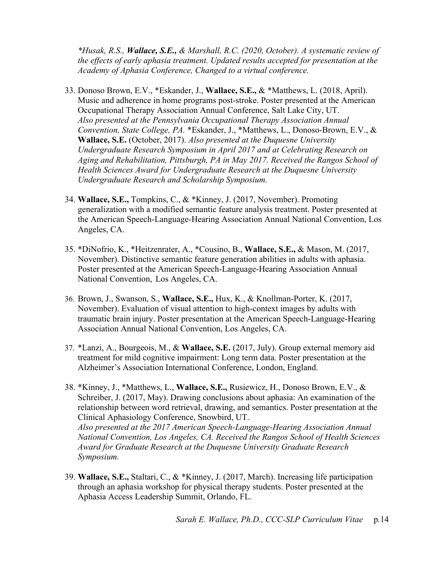*\*Husak, R.S., Wallace, S.E., & Marshall, R.C. (2020, October). A systematic review of the effects of early aphasia treatment. Updated results accepted for presentation at the Academy of Aphasia Conference, Changed to a virtual conference.* 

- 33. Donoso Brown, E.V., \*Eskander, J., **Wallace, S.E.,** & \*Matthews, L. (2018, April). Music and adherence in home programs post-stroke. Poster presented at the American Occupational Therapy Association Annual Conference, Salt Lake City, UT. *Also presented at the Pennsylvania Occupational Therapy Association Annual Convention, State College, PA.* \*Eskander, J., \*Matthews, L., Donoso-Brown, E.V., & **Wallace, S.E.** (October, 2017). *Also presented at the Duquesne University Undergraduate Research Symposium in April 2017 and at Celebrating Research on Aging and Rehabilitation, Pittsburgh, PA in May 2017. Received the Rangos School of Health Sciences Award for Undergraduate Research at the Duquesne University Undergraduate Research and Scholarship Symposium.*
- 34. **Wallace, S.E.,** Tompkins, C., & \*Kinney, J. (2017, November). Promoting generalization with a modified semantic feature analysis treatment. Poster presented at the American Speech-Language-Hearing Association Annual National Convention, Los Angeles, CA.
- 35. \*DiNofrio, K., \*Heitzenrater, A., \*Cousino, B., **Wallace, S.E.,** & Mason, M. (2017, November). Distinctive semantic feature generation abilities in adults with aphasia. Poster presented at the American Speech-Language-Hearing Association Annual National Convention, Los Angeles, CA.
- 36. Brown, J., Swanson, S., **Wallace, S.E.,** Hux, K., & Knollman-Porter, K. (2017, November). Evaluation of visual attention to high-context images by adults with traumatic brain injury. Poster presentation at the American Speech-Language-Hearing Association Annual National Convention, Los Angeles, CA.
- 37. \*Lanzi, A., Bourgeois, M., & **Wallace, S.E.** (2017, July). Group external memory aid treatment for mild cognitive impairment: Long term data. Poster presentation at the Alzheimer's Association International Conference, London, England.
- 38. \*Kinney, J., \*Matthews, L., **Wallace, S.E.,** Rusiewicz, H., Donoso Brown, E.V., & Schreiber, J. (2017, May). Drawing conclusions about aphasia: An examination of the relationship between word retrieval, drawing, and semantics. Poster presentation at the Clinical Aphasiology Conference, Snowbird, UT. *Also presented at the 2017 American Speech-Language-Hearing Association Annual National Convention, Los Angeles, CA. Received the Rangos School of Health Sciences Award for Graduate Research at the Duquesne University Graduate Research Symposium.*
- 39. **Wallace, S.E.,** Staltari, C., & \*Kinney, J. (2017, March). Increasing life participation through an aphasia workshop for physical therapy students. Poster presented at the Aphasia Access Leadership Summit, Orlando, FL.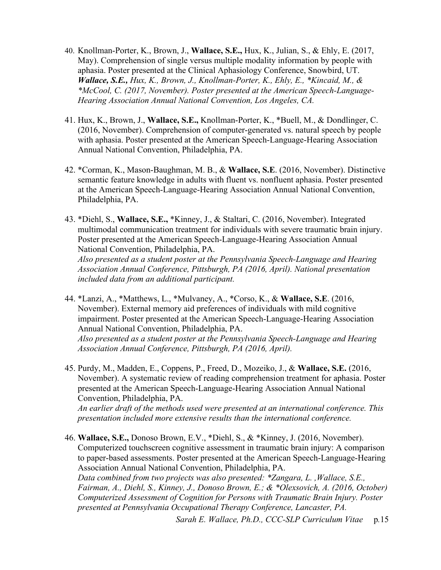- 40. Knollman-Porter, K., Brown, J., **Wallace, S.E.,** Hux, K., Julian, S., & Ehly, E. (2017, May). Comprehension of single versus multiple modality information by people with aphasia. Poster presented at the Clinical Aphasiology Conference, Snowbird, UT. *Wallace, S.E., Hux, K., Brown, J., Knollman-Porter, K., Ehly, E., \*Kincaid, M., & \*McCool, C. (2017, November). Poster presented at the American Speech-Language-Hearing Association Annual National Convention, Los Angeles, CA.*
- 41. Hux, K., Brown, J., **Wallace, S.E.,** Knollman-Porter, K., \*Buell, M., & Dondlinger, C. (2016, November). Comprehension of computer-generated vs. natural speech by people with aphasia. Poster presented at the American Speech-Language-Hearing Association Annual National Convention, Philadelphia, PA.
- 42. \*Corman, K., Mason-Baughman, M. B., & **Wallace, S.E**. (2016, November). Distinctive semantic feature knowledge in adults with fluent vs. nonfluent aphasia. Poster presented at the American Speech-Language-Hearing Association Annual National Convention, Philadelphia, PA.
- 43. \*Diehl, S., **Wallace, S.E.,** \*Kinney, J., & Staltari, C. (2016, November). Integrated multimodal communication treatment for individuals with severe traumatic brain injury. Poster presented at the American Speech-Language-Hearing Association Annual National Convention, Philadelphia, PA. *Also presented as a student poster at the Pennsylvania Speech-Language and Hearing Association Annual Conference, Pittsburgh, PA (2016, April). National presentation included data from an additional participant.*
- 44. \*Lanzi, A., \*Matthews, L., \*Mulvaney, A., \*Corso, K., & **Wallace, S.E**. (2016, November). External memory aid preferences of individuals with mild cognitive impairment. Poster presented at the American Speech-Language-Hearing Association Annual National Convention, Philadelphia, PA. *Also presented as a student poster at the Pennsylvania Speech-Language and Hearing Association Annual Conference, Pittsburgh, PA (2016, April).*
- 45. Purdy, M., Madden, E., Coppens, P., Freed, D., Mozeiko, J., & **Wallace, S.E.** (2016, November). A systematic review of reading comprehension treatment for aphasia. Poster presented at the American Speech-Language-Hearing Association Annual National Convention, Philadelphia, PA.

*An earlier draft of the methods used were presented at an international conference. This presentation included more extensive results than the international conference.* 

46. **Wallace, S.E.,** Donoso Brown, E.V., \*Diehl, S., & \*Kinney, J. (2016, November). Computerized touchscreen cognitive assessment in traumatic brain injury: A comparison to paper-based assessments. Poster presented at the American Speech-Language-Hearing Association Annual National Convention, Philadelphia, PA. *Data combined from two projects was also presented: \*Zangara, L. ,Wallace, S.E., Fairman, A., Diehl, S., Kinney, J., Donoso Brown, E.; & \*Olexsovich, A. (2016, October) Computerized Assessment of Cognition for Persons with Traumatic Brain Injury. Poster presented at Pennsylvania Occupational Therapy Conference, Lancaster, PA.*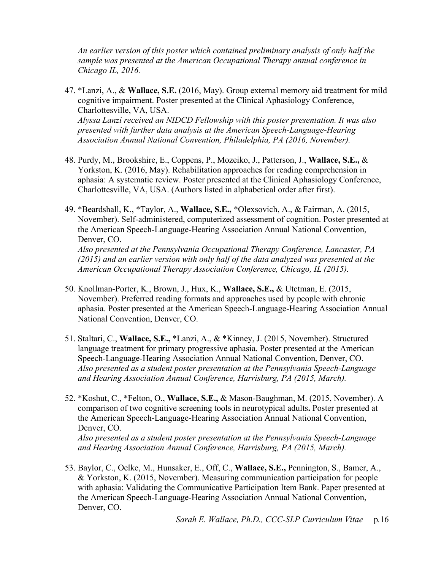*An earlier version of this poster which contained preliminary analysis of only half the sample was presented at the American Occupational Therapy annual conference in Chicago IL, 2016.*

47. \*Lanzi, A., & **Wallace, S.E.** (2016, May). Group external memory aid treatment for mild cognitive impairment. Poster presented at the Clinical Aphasiology Conference, Charlottesville, VA, USA. *Alyssa Lanzi received an NIDCD Fellowship with this poster presentation. It was also*

*presented with further data analysis at the American Speech-Language-Hearing Association Annual National Convention, Philadelphia, PA (2016, November).*

- 48. Purdy, M., Brookshire, E., Coppens, P., Mozeiko, J., Patterson, J., **Wallace, S.E.,** & Yorkston, K. (2016, May). Rehabilitation approaches for reading comprehension in aphasia: A systematic review. Poster presented at the Clinical Aphasiology Conference, Charlottesville, VA, USA. (Authors listed in alphabetical order after first).
- 49. \*Beardshall, K., \*Taylor, A., **Wallace, S.E.,** \*Olexsovich, A., & Fairman, A. (2015, November). Self-administered, computerized assessment of cognition. Poster presented at the American Speech-Language-Hearing Association Annual National Convention, Denver, CO.

*Also presented at the Pennsylvania Occupational Therapy Conference, Lancaster, PA (2015) and an earlier version with only half of the data analyzed was presented at the American Occupational Therapy Association Conference, Chicago, IL (2015).* 

- 50. Knollman-Porter, K., Brown, J., Hux, K., **Wallace, S.E.,** & Utctman, E. (2015, November). Preferred reading formats and approaches used by people with chronic aphasia. Poster presented at the American Speech-Language-Hearing Association Annual National Convention, Denver, CO.
- 51. Staltari, C., **Wallace, S.E.,** \*Lanzi, A., & \*Kinney, J. (2015, November). Structured language treatment for primary progressive aphasia. Poster presented at the American Speech-Language-Hearing Association Annual National Convention, Denver, CO. *Also presented as a student poster presentation at the Pennsylvania Speech-Language and Hearing Association Annual Conference, Harrisburg, PA (2015, March).*
- 52. \*Koshut, C., \*Felton, O., **Wallace, S.E.,** & Mason-Baughman, M. (2015, November). A comparison of two cognitive screening tools in neurotypical adults**.** Poster presented at the American Speech-Language-Hearing Association Annual National Convention, Denver, CO.

*Also presented as a student poster presentation at the Pennsylvania Speech-Language and Hearing Association Annual Conference, Harrisburg, PA (2015, March).*

53. Baylor, C., Oelke, M., Hunsaker, E., Off, C., **Wallace, S.E.,** Pennington, S., Bamer, A., & Yorkston, K. (2015, November). Measuring communication participation for people with aphasia: Validating the Communicative Participation Item Bank. Paper presented at the American Speech-Language-Hearing Association Annual National Convention, Denver, CO.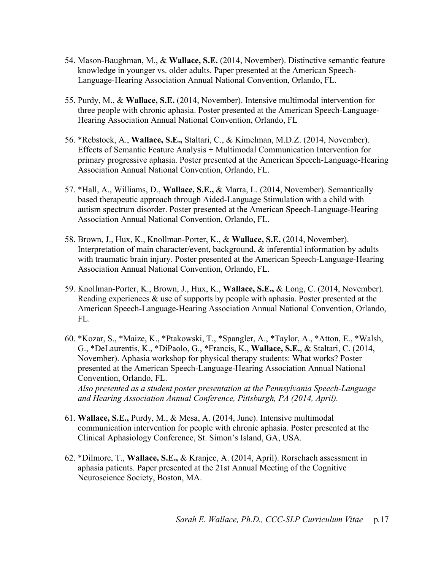- 54. Mason-Baughman, M., & **Wallace, S.E.** (2014, November). Distinctive semantic feature knowledge in younger vs. older adults. Paper presented at the American Speech-Language-Hearing Association Annual National Convention, Orlando, FL.
- 55. Purdy, M., & **Wallace, S.E.** (2014, November). Intensive multimodal intervention for three people with chronic aphasia. Poster presented at the American Speech-Language-Hearing Association Annual National Convention, Orlando, FL
- 56. \*Rebstock, A., **Wallace, S.E.,** Staltari, C., & Kimelman, M.D.Z. (2014, November). Effects of Semantic Feature Analysis + Multimodal Communication Intervention for primary progressive aphasia. Poster presented at the American Speech-Language-Hearing Association Annual National Convention, Orlando, FL.
- 57. \*Hall, A., Williams, D., **Wallace, S.E.,** & Marra, L. (2014, November). Semantically based therapeutic approach through Aided-Language Stimulation with a child with autism spectrum disorder. Poster presented at the American Speech-Language-Hearing Association Annual National Convention, Orlando, FL.
- 58. Brown, J., Hux, K., Knollman-Porter, K., & **Wallace, S.E.** (2014, November). Interpretation of main character/event, background, & inferential information by adults with traumatic brain injury. Poster presented at the American Speech-Language-Hearing Association Annual National Convention, Orlando, FL.
- 59. Knollman-Porter, K., Brown, J., Hux, K., **Wallace, S.E.,** & Long, C. (2014, November). Reading experiences & use of supports by people with aphasia. Poster presented at the American Speech-Language-Hearing Association Annual National Convention, Orlando, FL.
- 60. \*Kozar, S., \*Maize, K., \*Ptakowski, T., \*Spangler, A., \*Taylor, A., \*Atton, E., \*Walsh, G., \*DeLaurentis, K., \*DiPaolo, G., \*Francis, K., **Wallace, S.E.**, & Staltari, C. (2014, November). Aphasia workshop for physical therapy students: What works? Poster presented at the American Speech-Language-Hearing Association Annual National Convention, Orlando, FL. *Also presented as a student poster presentation at the Pennsylvania Speech-Language and Hearing Association Annual Conference, Pittsburgh, PA (2014, April).*
- 61. **Wallace, S.E.,** Purdy, M., & Mesa, A. (2014, June). Intensive multimodal communication intervention for people with chronic aphasia. Poster presented at the Clinical Aphasiology Conference, St. Simon's Island, GA, USA.
- 62. \*Dilmore, T., **Wallace, S.E.,** & Kranjec, A. (2014, April). Rorschach assessment in aphasia patients. Paper presented at the 21st Annual Meeting of the Cognitive Neuroscience Society, Boston, MA.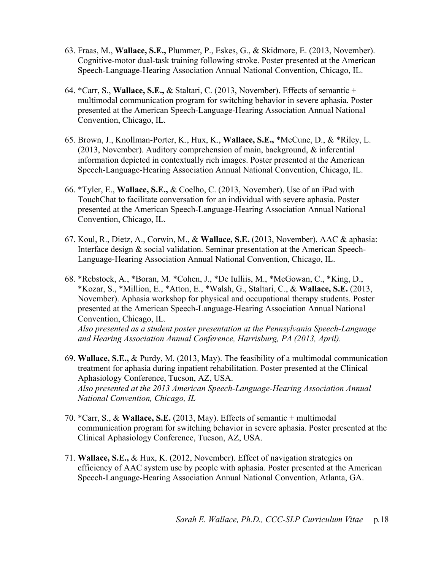- 63. Fraas, M., **Wallace, S.E.,** Plummer, P., Eskes, G., & Skidmore, E. (2013, November). Cognitive-motor dual-task training following stroke. Poster presented at the American Speech-Language-Hearing Association Annual National Convention, Chicago, IL.
- 64. \*Carr, S., **Wallace, S.E.,** & Staltari, C. (2013, November). Effects of semantic + multimodal communication program for switching behavior in severe aphasia. Poster presented at the American Speech-Language-Hearing Association Annual National Convention, Chicago, IL.
- 65. Brown, J., Knollman-Porter, K., Hux, K., **Wallace, S.E.,** \*McCune, D., & \*Riley, L. (2013, November). Auditory comprehension of main, background, & inferential information depicted in contextually rich images. Poster presented at the American Speech-Language-Hearing Association Annual National Convention, Chicago, IL.
- 66. \*Tyler, E., **Wallace, S.E.,** & Coelho, C. (2013, November). Use of an iPad with TouchChat to facilitate conversation for an individual with severe aphasia. Poster presented at the American Speech-Language-Hearing Association Annual National Convention, Chicago, IL.
- 67. Koul, R., Dietz, A., Corwin, M., & **Wallace, S.E.** (2013, November). AAC & aphasia: Interface design & social validation. Seminar presentation at the American Speech-Language-Hearing Association Annual National Convention, Chicago, IL.
- 68. \*Rebstock, A., \*Boran, M. \*Cohen, J., \*De Iulliis, M., \*McGowan, C., \*King, D., \*Kozar, S., \*Million, E., \*Atton, E., \*Walsh, G., Staltari, C., & **Wallace, S.E.** (2013, November). Aphasia workshop for physical and occupational therapy students. Poster presented at the American Speech-Language-Hearing Association Annual National Convention, Chicago, IL. *Also presented as a student poster presentation at the Pennsylvania Speech-Language and Hearing Association Annual Conference, Harrisburg, PA (2013, April).*
- 69. **Wallace, S.E.,** & Purdy, M. (2013, May). The feasibility of a multimodal communication treatment for aphasia during inpatient rehabilitation. Poster presented at the Clinical Aphasiology Conference, Tucson, AZ, USA. *Also presented at the 2013 American Speech-Language-Hearing Association Annual National Convention, Chicago, IL*
- 70. \*Carr, S., & **Wallace, S.E.** (2013, May). Effects of semantic + multimodal communication program for switching behavior in severe aphasia. Poster presented at the Clinical Aphasiology Conference, Tucson, AZ, USA.
- 71. **Wallace, S.E.,** & Hux, K. (2012, November). Effect of navigation strategies on efficiency of AAC system use by people with aphasia. Poster presented at the American Speech-Language-Hearing Association Annual National Convention, Atlanta, GA.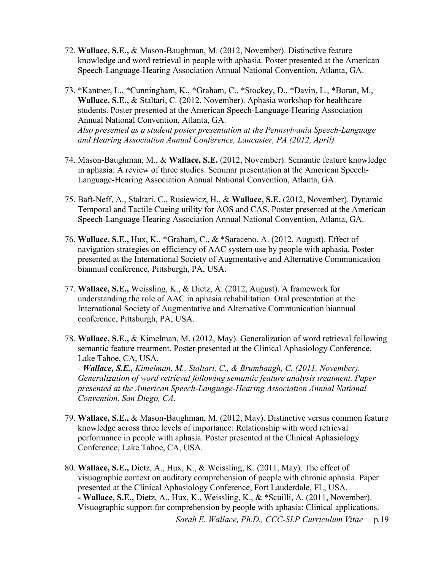- 72. **Wallace, S.E.,** & Mason-Baughman, M. (2012, November). Distinctive feature knowledge and word retrieval in people with aphasia. Poster presented at the American Speech-Language-Hearing Association Annual National Convention, Atlanta, GA.
- 73. \*Kantner, L., \*Cunningham, K., \*Graham, C., \*Stockey, D., \*Davin, L., \*Boran, M., **Wallace, S.E.,** & Staltari, C. (2012, November). Aphasia workshop for healthcare students. Poster presented at the American Speech-Language-Hearing Association Annual National Convention, Atlanta, GA. *Also presented as a student poster presentation at the Pennsylvania Speech-Language and Hearing Association Annual Conference, Lancaster, PA (2012, April).*
- 74. Mason-Baughman, M., & **Wallace, S.E.** (2012, November). Semantic feature knowledge in aphasia: A review of three studies. Seminar presentation at the American Speech-Language-Hearing Association Annual National Convention, Atlanta, GA.
- 75. Baft-Neff, A., Staltari, C., Rusiewicz, H., & **Wallace, S.E.** (2012, November). Dynamic Temporal and Tactile Cueing utility for AOS and CAS. Poster presented at the American Speech-Language-Hearing Association Annual National Convention, Atlanta, GA.
- 76. **Wallace, S.E.,** Hux, K., \*Graham, C., & \*Saraceno, A. (2012, August). Effect of navigation strategies on efficiency of AAC system use by people with aphasia. Poster presented at the International Society of Augmentative and Alternative Communication biannual conference, Pittsburgh, PA, USA.
- 77. **Wallace, S.E.,** Weissling, K., & Dietz, A. (2012, August). A framework for understanding the role of AAC in aphasia rehabilitation. Oral presentation at the International Society of Augmentative and Alternative Communication biannual conference, Pittsburgh, PA, USA.
- 78. **Wallace, S.E.,** & Kimelman, M. (2012, May). Generalization of word retrieval following semantic feature treatment. Poster presented at the Clinical Aphasiology Conference, Lake Tahoe, CA, USA.

*- Wallace, S.E., Kimelman, M., Staltari, C., & Brumbaugh, C. (2011, November). Generalization of word retrieval following semantic feature analysis treatment. Paper presented at the American Speech-Language-Hearing Association Annual National Convention, San Diego, CA*.

- 79. **Wallace, S.E.,** & Mason-Baughman, M. (2012, May). Distinctive versus common feature knowledge across three levels of importance: Relationship with word retrieval performance in people with aphasia. Poster presented at the Clinical Aphasiology Conference, Lake Tahoe, CA, USA.
- 80. **Wallace, S.E.,** Dietz, A., Hux, K., & Weissling, K. (2011, May). The effect of visuographic context on auditory comprehension of people with chronic aphasia. Paper presented at the Clinical Aphasiology Conference, Fort Lauderdale, FL, USA. **- Wallace, S.E.,** Dietz, A., Hux, K., Weissling, K., & \*Scuilli, A. (2011, November). Visuographic support for comprehension by people with aphasia: Clinical applications.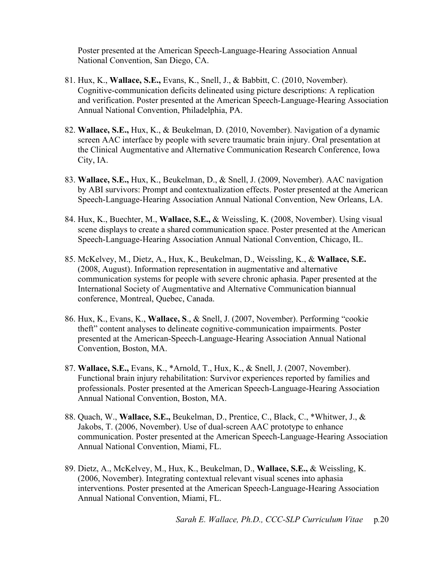Poster presented at the American Speech-Language-Hearing Association Annual National Convention, San Diego, CA.

- 81. Hux, K., **Wallace, S.E.,** Evans, K., Snell, J., & Babbitt, C. (2010, November). Cognitive-communication deficits delineated using picture descriptions: A replication and verification. Poster presented at the American Speech-Language-Hearing Association Annual National Convention, Philadelphia, PA.
- 82. **Wallace, S.E.,** Hux, K., & Beukelman, D. (2010, November). Navigation of a dynamic screen AAC interface by people with severe traumatic brain injury. Oral presentation at the Clinical Augmentative and Alternative Communication Research Conference, Iowa City, IA.
- 83. **Wallace, S.E.,** Hux, K., Beukelman, D., & Snell, J. (2009, November). AAC navigation by ABI survivors: Prompt and contextualization effects. Poster presented at the American Speech-Language-Hearing Association Annual National Convention, New Orleans, LA.
- 84. Hux, K., Buechter, M., **Wallace, S.E.,** & Weissling, K. (2008, November). Using visual scene displays to create a shared communication space. Poster presented at the American Speech-Language-Hearing Association Annual National Convention, Chicago, IL.
- 85. McKelvey, M., Dietz, A., Hux, K., Beukelman, D., Weissling, K., & **Wallace, S.E.**  (2008, August). Information representation in augmentative and alternative communication systems for people with severe chronic aphasia. Paper presented at the International Society of Augmentative and Alternative Communication biannual conference, Montreal, Quebec, Canada.
- 86. Hux, K., Evans, K., **Wallace, S**., & Snell, J. (2007, November). Performing "cookie theft" content analyses to delineate cognitive-communication impairments. Poster presented at the American-Speech-Language-Hearing Association Annual National Convention, Boston, MA.
- 87. **Wallace, S.E.,** Evans, K., \*Arnold, T., Hux, K., & Snell, J. (2007, November). Functional brain injury rehabilitation: Survivor experiences reported by families and professionals. Poster presented at the American Speech-Language-Hearing Association Annual National Convention, Boston, MA.
- 88. Quach, W., **Wallace, S.E.,** Beukelman, D., Prentice, C., Black, C., \*Whitwer, J., & Jakobs, T. (2006, November). Use of dual-screen AAC prototype to enhance communication. Poster presented at the American Speech-Language-Hearing Association Annual National Convention, Miami, FL.
- 89. Dietz, A., McKelvey, M., Hux, K., Beukelman, D., **Wallace, S.E.,** & Weissling, K. (2006, November). Integrating contextual relevant visual scenes into aphasia interventions. Poster presented at the American Speech-Language-Hearing Association Annual National Convention, Miami, FL.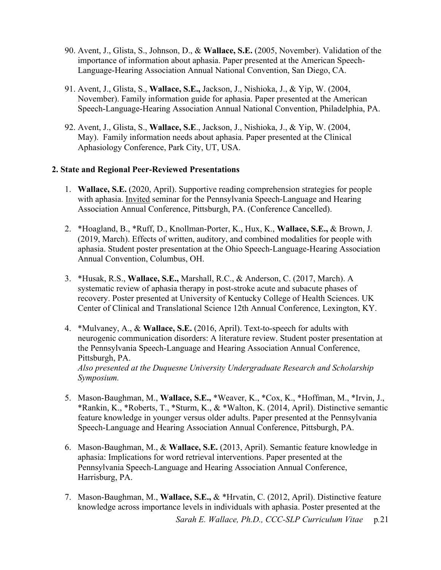- 90. Avent, J., Glista, S., Johnson, D., & **Wallace, S.E.** (2005, November). Validation of the importance of information about aphasia. Paper presented at the American Speech-Language-Hearing Association Annual National Convention, San Diego, CA.
- 91. Avent, J., Glista, S., **Wallace, S.E.,** Jackson, J., Nishioka, J., & Yip, W. (2004, November). Family information guide for aphasia. Paper presented at the American Speech-Language-Hearing Association Annual National Convention, Philadelphia, PA.
- 92. Avent, J., Glista, S., **Wallace, S.E**., Jackson, J., Nishioka, J., & Yip, W. (2004, May). Family information needs about aphasia. Paper presented at the Clinical Aphasiology Conference, Park City, UT, USA.

## **2. State and Regional Peer-Reviewed Presentations**

- 1. **Wallace, S.E.** (2020, April). Supportive reading comprehension strategies for people with aphasia. Invited seminar for the Pennsylvania Speech-Language and Hearing Association Annual Conference, Pittsburgh, PA. (Conference Cancelled).
- 2. \*Hoagland, B., \*Ruff, D., Knollman-Porter, K., Hux, K., **Wallace, S.E.,** & Brown, J. (2019, March). Effects of written, auditory, and combined modalities for people with aphasia. Student poster presentation at the Ohio Speech-Language-Hearing Association Annual Convention, Columbus, OH.
- 3. \*Husak, R.S., **Wallace, S.E.,** Marshall, R.C., & Anderson, C. (2017, March). A systematic review of aphasia therapy in post-stroke acute and subacute phases of recovery. Poster presented at University of Kentucky College of Health Sciences. UK Center of Clinical and Translational Science 12th Annual Conference, Lexington, KY.
- 4. \*Mulvaney, A., & **Wallace, S.E.** (2016, April). Text-to-speech for adults with neurogenic communication disorders: A literature review. Student poster presentation at the Pennsylvania Speech-Language and Hearing Association Annual Conference, Pittsburgh, PA. *Also presented at the Duquesne University Undergraduate Research and Scholarship Symposium.*
- 5. Mason-Baughman, M., **Wallace, S.E.,** \*Weaver, K., \*Cox, K., \*Hoffman, M., \*Irvin, J., \*Rankin, K., \*Roberts, T., \*Sturm, K., & \*Walton, K. (2014, April). Distinctive semantic feature knowledge in younger versus older adults. Paper presented at the Pennsylvania Speech-Language and Hearing Association Annual Conference, Pittsburgh, PA.
- 6. Mason-Baughman, M., & **Wallace, S.E.** (2013, April). Semantic feature knowledge in aphasia: Implications for word retrieval interventions. Paper presented at the Pennsylvania Speech-Language and Hearing Association Annual Conference, Harrisburg, PA.
- 7. Mason-Baughman, M., **Wallace, S.E.,** & \*Hrvatin, C. (2012, April). Distinctive feature knowledge across importance levels in individuals with aphasia. Poster presented at the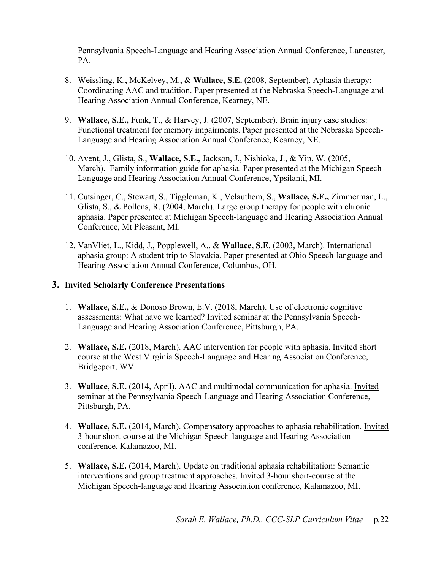Pennsylvania Speech-Language and Hearing Association Annual Conference, Lancaster, PA.

- 8. Weissling, K., McKelvey, M., & **Wallace, S.E.** (2008, September). Aphasia therapy: Coordinating AAC and tradition. Paper presented at the Nebraska Speech-Language and Hearing Association Annual Conference, Kearney, NE.
- 9. **Wallace, S.E.,** Funk, T., & Harvey, J. (2007, September). Brain injury case studies: Functional treatment for memory impairments. Paper presented at the Nebraska Speech-Language and Hearing Association Annual Conference, Kearney, NE.
- 10. Avent, J., Glista, S., **Wallace, S.E.,** Jackson, J., Nishioka, J., & Yip, W. (2005, March). Family information guide for aphasia. Paper presented at the Michigan Speech-Language and Hearing Association Annual Conference, Ypsilanti, MI.
- 11. Cutsinger, C., Stewart, S., Tiggleman, K., Velauthem, S., **Wallace, S.E.,** Zimmerman, L., Glista, S., & Pollens, R. (2004, March). Large group therapy for people with chronic aphasia. Paper presented at Michigan Speech-language and Hearing Association Annual Conference, Mt Pleasant, MI.
- 12. VanVliet, L., Kidd, J., Popplewell, A., & **Wallace, S.E.** (2003, March). International aphasia group: A student trip to Slovakia. Paper presented at Ohio Speech-language and Hearing Association Annual Conference, Columbus, OH.

## **3. Invited Scholarly Conference Presentations**

- 1. **Wallace, S.E.,** & Donoso Brown, E.V. (2018, March). Use of electronic cognitive assessments: What have we learned? Invited seminar at the Pennsylvania Speech-Language and Hearing Association Conference, Pittsburgh, PA.
- 2. **Wallace, S.E.** (2018, March). AAC intervention for people with aphasia. Invited short course at the West Virginia Speech-Language and Hearing Association Conference, Bridgeport, WV.
- 3. **Wallace, S.E.** (2014, April). AAC and multimodal communication for aphasia. Invited seminar at the Pennsylvania Speech-Language and Hearing Association Conference, Pittsburgh, PA.
- 4. **Wallace, S.E.** (2014, March). Compensatory approaches to aphasia rehabilitation. Invited 3-hour short-course at the Michigan Speech-language and Hearing Association conference, Kalamazoo, MI.
- 5. **Wallace, S.E.** (2014, March). Update on traditional aphasia rehabilitation: Semantic interventions and group treatment approaches. Invited 3-hour short-course at the Michigan Speech-language and Hearing Association conference, Kalamazoo, MI.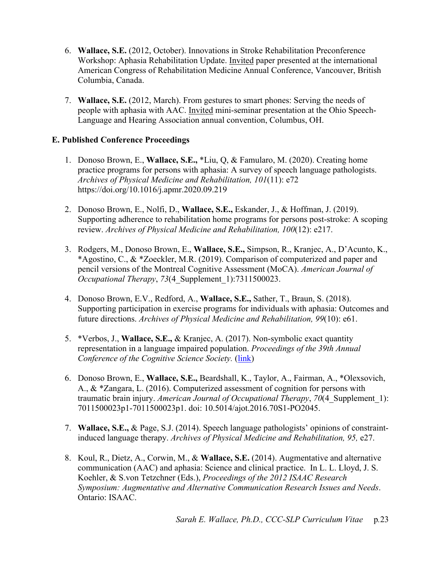- 6. **Wallace, S.E.** (2012, October). Innovations in Stroke Rehabilitation Preconference Workshop: Aphasia Rehabilitation Update. Invited paper presented at the international American Congress of Rehabilitation Medicine Annual Conference, Vancouver, British Columbia, Canada.
- 7. **Wallace, S.E.** (2012, March). From gestures to smart phones: Serving the needs of people with aphasia with AAC. Invited mini-seminar presentation at the Ohio Speech-Language and Hearing Association annual convention, Columbus, OH.

## **E. Published Conference Proceedings**

- 1. Donoso Brown, E., **Wallace, S.E.,** \*Liu, Q, & Famularo, M. (2020). Creating home practice programs for persons with aphasia: A survey of speech language pathologists. *Archives of Physical Medicine and Rehabilitation, 101*(11): e72 https://doi.org/10.1016/j.apmr.2020.09.219
- 2. Donoso Brown, E., Nolfi, D., **Wallace, S.E.,** Eskander, J., & Hoffman, J. (2019). Supporting adherence to rehabilitation home programs for persons post-stroke: A scoping review. *Archives of Physical Medicine and Rehabilitation, 100*(12): e217.
- 3. Rodgers, M., Donoso Brown, E., **Wallace, S.E.,** Simpson, R., Kranjec, A., D'Acunto, K., \*Agostino, C., & \*Zoeckler, M.R. (2019). Comparison of computerized and paper and pencil versions of the Montreal Cognitive Assessment (MoCA). *American Journal of Occupational Therapy*, *73*(4\_Supplement\_1):7311500023.
- 4. Donoso Brown, E.V., Redford, A., **Wallace, S.E.,** Sather, T., Braun, S. (2018). Supporting participation in exercise programs for individuals with aphasia: Outcomes and future directions. *Archives of Physical Medicine and Rehabilitation, 99*(10): e61.
- 5. \*Verbos, J., **Wallace, S.E.,** & Kranjec, A. (2017). Non-symbolic exact quantity representation in a language impaired population. *Proceedings of the 39th Annual Conference of the Cognitive Science Society.* [\(link\)](https://mindmodeling.org/cogsci2017/papers/0247/paper0247.pdf)
- 6. Donoso Brown, E., **Wallace, S.E.,** Beardshall, K., Taylor, A., Fairman, A., \*Olexsovich, A., & \*Zangara, L. (2016). Computerized assessment of cognition for persons with traumatic brain injury. *American Journal of Occupational Therapy*, *70*(4\_Supplement\_1): 7011500023p1-7011500023p1. doi: 10.5014/ajot.2016.70S1-PO2045.
- 7. **Wallace, S.E.,** & Page, S.J. (2014). Speech language pathologists' opinions of constraintinduced language therapy. *Archives of Physical Medicine and Rehabilitation, 95,* e27.
- 8. Koul, R., Dietz, A., Corwin, M., & **Wallace, S.E.** (2014). Augmentative and alternative communication (AAC) and aphasia: Science and clinical practice. In L. L. Lloyd, J. S. Koehler, & S.von Tetzchner (Eds.), *Proceedings of the 2012 ISAAC Research Symposium: Augmentative and Alternative Communication Research Issues and Needs*. Ontario: ISAAC.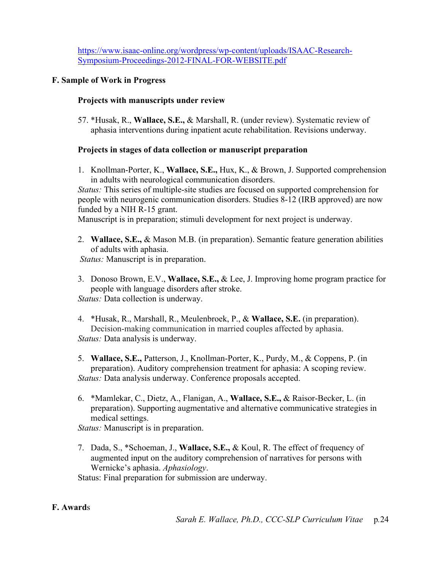[https://www.isaac-online.org/wordpress/wp-content/uploads/ISAAC-Research-](https://www.isaac-online.org/wordpress/wp-content/uploads/ISAAC-Research-Symposium-Proceedings-2012-FINAL-FOR-WEBSITE.pdf)[Symposium-Proceedings-2012-FINAL-FOR-WEBSITE.pdf](https://www.isaac-online.org/wordpress/wp-content/uploads/ISAAC-Research-Symposium-Proceedings-2012-FINAL-FOR-WEBSITE.pdf)

#### **F. Sample of Work in Progress**

#### **Projects with manuscripts under review**

57. \*Husak, R., **Wallace, S.E.,** & Marshall, R. (under review). Systematic review of aphasia interventions during inpatient acute rehabilitation. Revisions underway.

#### **Projects in stages of data collection or manuscript preparation**

1. Knollman-Porter, K., **Wallace, S.E.,** Hux, K., & Brown, J. Supported comprehension in adults with neurological communication disorders.

*Status:* This series of multiple-site studies are focused on supported comprehension for people with neurogenic communication disorders. Studies 8-12 (IRB approved) are now funded by a NIH R-15 grant.

Manuscript is in preparation; stimuli development for next project is underway.

2. **Wallace, S.E.,** & Mason M.B. (in preparation). Semantic feature generation abilities of adults with aphasia.

*Status:* Manuscript is in preparation.

3. Donoso Brown, E.V., **Wallace, S.E.,** & Lee, J. Improving home program practice for people with language disorders after stroke.

*Status:* Data collection is underway.

4. \*Husak, R., Marshall, R., Meulenbroek, P., & **Wallace, S.E.** (in preparation). Decision-making communication in married couples affected by aphasia. *Status:* Data analysis is underway.

5. **Wallace, S.E.,** Patterson, J., Knollman-Porter, K., Purdy, M., & Coppens, P. (in preparation). Auditory comprehension treatment for aphasia: A scoping review. *Status:* Data analysis underway. Conference proposals accepted.

6. \*Mamlekar, C., Dietz, A., Flanigan, A., **Wallace, S.E.,** & Raisor-Becker, L. (in preparation). Supporting augmentative and alternative communicative strategies in medical settings.

*Status:* Manuscript is in preparation.

7. Dada, S., \*Schoeman, J., **Wallace, S.E.,** & Koul, R. The effect of frequency of augmented input on the auditory comprehension of narratives for persons with Wernicke's aphasia. *Aphasiology*.

Status: Final preparation for submission are underway.

## **F. Award**s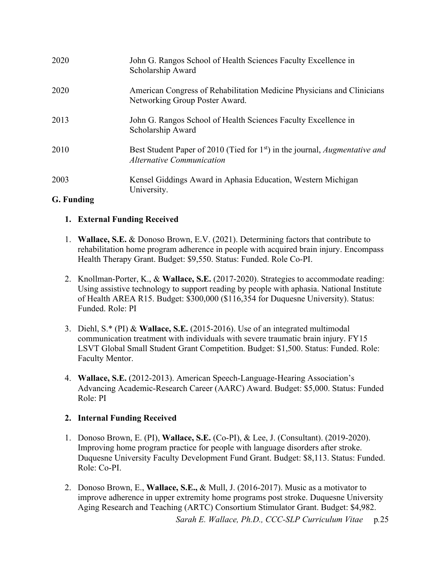| 2020                     | John G. Rangos School of Health Sciences Faculty Excellence in<br>Scholarship Award                                                |
|--------------------------|------------------------------------------------------------------------------------------------------------------------------------|
| 2020                     | American Congress of Rehabilitation Medicine Physicians and Clinicians<br>Networking Group Poster Award.                           |
| 2013                     | John G. Rangos School of Health Sciences Faculty Excellence in<br>Scholarship Award                                                |
| 2010                     | Best Student Paper of 2010 (Tied for 1 <sup>st</sup> ) in the journal, <i>Augmentative and</i><br><b>Alternative Communication</b> |
| 2003                     | Kensel Giddings Award in Aphasia Education, Western Michigan<br>University.                                                        |
| $C$ From dimensional $C$ |                                                                                                                                    |

# **G. Funding**

# **1. External Funding Received**

- 1. **Wallace, S.E.** & Donoso Brown, E.V. (2021). Determining factors that contribute to rehabilitation home program adherence in people with acquired brain injury. Encompass Health Therapy Grant. Budget: \$9,550. Status: Funded. Role Co-PI.
- 2. Knollman-Porter, K., & **Wallace, S.E.** (2017-2020). Strategies to accommodate reading: Using assistive technology to support reading by people with aphasia. National Institute of Health AREA R15. Budget: \$300,000 (\$116,354 for Duquesne University). Status: Funded. Role: PI
- 3. Diehl, S.\* (PI) & **Wallace, S.E.** (2015-2016). Use of an integrated multimodal communication treatment with individuals with severe traumatic brain injury. FY15 LSVT Global Small Student Grant Competition. Budget: \$1,500. Status: Funded. Role: Faculty Mentor.
- 4. **Wallace, S.E.** (2012-2013). American Speech-Language-Hearing Association's Advancing Academic-Research Career (AARC) Award. Budget: \$5,000. Status: Funded Role: PI

# **2. Internal Funding Received**

- 1. Donoso Brown, E. (PI), **Wallace, S.E.** (Co-PI), & Lee, J. (Consultant). (2019-2020). Improving home program practice for people with language disorders after stroke. Duquesne University Faculty Development Fund Grant. Budget: \$8,113. Status: Funded. Role: Co-PI.
- 2. Donoso Brown, E., **Wallace, S.E.,** & Mull, J. (2016-2017). Music as a motivator to improve adherence in upper extremity home programs post stroke. Duquesne University Aging Research and Teaching (ARTC) Consortium Stimulator Grant. Budget: \$4,982.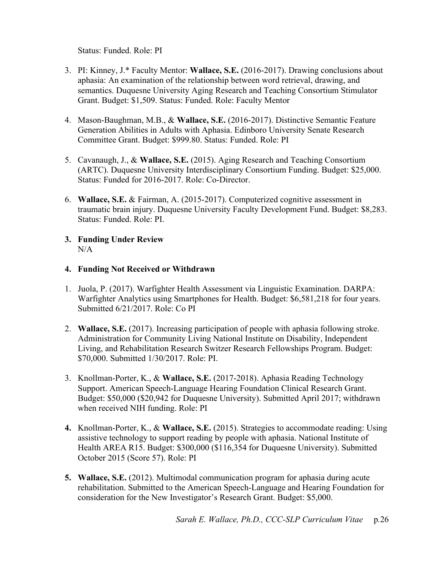Status: Funded. Role: PI

- 3. PI: Kinney, J.\* Faculty Mentor: **Wallace, S.E.** (2016-2017). Drawing conclusions about aphasia: An examination of the relationship between word retrieval, drawing, and semantics. Duquesne University Aging Research and Teaching Consortium Stimulator Grant. Budget: \$1,509. Status: Funded. Role: Faculty Mentor
- 4. Mason-Baughman, M.B., & **Wallace, S.E.** (2016-2017). Distinctive Semantic Feature Generation Abilities in Adults with Aphasia. Edinboro University Senate Research Committee Grant. Budget: \$999.80. Status: Funded. Role: PI
- 5. Cavanaugh, J., & **Wallace, S.E.** (2015). Aging Research and Teaching Consortium (ARTC). Duquesne University Interdisciplinary Consortium Funding. Budget: \$25,000. Status: Funded for 2016-2017. Role: Co-Director.
- 6. **Wallace, S.E.** & Fairman, A. (2015-2017). Computerized cognitive assessment in traumatic brain injury. Duquesne University Faculty Development Fund. Budget: \$8,283. Status: Funded. Role: PI.
- **3. Funding Under Review** N/A

## **4. Funding Not Received or Withdrawn**

- 1. Juola, P. (2017). Warfighter Health Assessment via Linguistic Examination. DARPA: Warfighter Analytics using Smartphones for Health. Budget: \$6,581,218 for four years. Submitted 6/21/2017. Role: Co PI
- 2. **Wallace, S.E.** (2017). Increasing participation of people with aphasia following stroke. Administration for Community Living National Institute on Disability, Independent Living, and Rehabilitation Research Switzer Research Fellowships Program. Budget: \$70,000. Submitted 1/30/2017. Role: PI.
- 3. Knollman-Porter, K., & **Wallace, S.E.** (2017-2018). Aphasia Reading Technology Support. American Speech-Language Hearing Foundation Clinical Research Grant. Budget: \$50,000 (\$20,942 for Duquesne University). Submitted April 2017; withdrawn when received NIH funding. Role: PI
- **4.** Knollman-Porter, K., & **Wallace, S.E.** (2015). Strategies to accommodate reading: Using assistive technology to support reading by people with aphasia. National Institute of Health AREA R15. Budget: \$300,000 (\$116,354 for Duquesne University). Submitted October 2015 (Score 57). Role: PI
- **5. Wallace, S.E.** (2012). Multimodal communication program for aphasia during acute rehabilitation. Submitted to the American Speech-Language and Hearing Foundation for consideration for the New Investigator's Research Grant. Budget: \$5,000.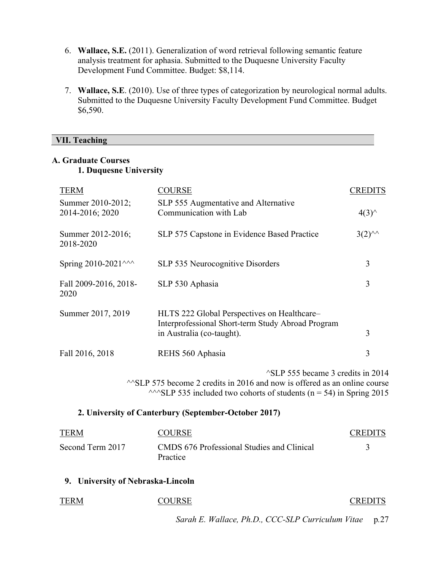- 6. **Wallace, S.E.** (2011). Generalization of word retrieval following semantic feature analysis treatment for aphasia. Submitted to the Duquesne University Faculty Development Fund Committee. Budget: \$8,114.
- 7. **Wallace, S.E**. (2010). Use of three types of categorization by neurological normal adults. Submitted to the Duquesne University Faculty Development Fund Committee. Budget \$6,590.

## **VII. Teaching**

## **A. Graduate Courses 1. Duquesne University**

| <b>TERM</b>                                          | <b>COURSE</b>                                                                                                                                                                                              | <b>CREDITS</b>  |  |
|------------------------------------------------------|------------------------------------------------------------------------------------------------------------------------------------------------------------------------------------------------------------|-----------------|--|
| Summer 2010-2012;<br>2014-2016; 2020                 | SLP 555 Augmentative and Alternative<br>Communication with Lab                                                                                                                                             | $4(3)^{\wedge}$ |  |
| Summer 2012-2016;<br>2018-2020                       | SLP 575 Capstone in Evidence Based Practice                                                                                                                                                                | $3(2)^{44}$     |  |
| Spring 2010-2021^^^                                  | SLP 535 Neurocognitive Disorders                                                                                                                                                                           | 3               |  |
| Fall 2009-2016, 2018-<br>2020                        | SLP 530 Aphasia                                                                                                                                                                                            | 3               |  |
| Summer 2017, 2019                                    | HLTS 222 Global Perspectives on Healthcare-<br>Interprofessional Short-term Study Abroad Program<br>in Australia (co-taught).                                                                              | 3               |  |
| Fall 2016, 2018                                      | REHS 560 Aphasia                                                                                                                                                                                           | 3               |  |
|                                                      | <sup>1</sup> SLP 555 became 3 credits in 2014<br>$\sim$ SLP 575 become 2 credits in 2016 and now is offered as an online course<br>$\sim$ SLP 535 included two cohorts of students (n = 54) in Spring 2015 |                 |  |
| 2. University of Canterbury (September-October 2017) |                                                                                                                                                                                                            |                 |  |
| <b>TERM</b>                                          | <b>COURSE</b>                                                                                                                                                                                              | <b>CREDITS</b>  |  |
| Second Term 2017                                     | CMDS 676 Professional Studies and Clinical<br>Practice                                                                                                                                                     | 3               |  |
| 9. University of Nebraska-Lincoln                    |                                                                                                                                                                                                            |                 |  |
| <b>TERM</b>                                          | <b>COURSE</b>                                                                                                                                                                                              | <b>CREDITS</b>  |  |
|                                                      | Sarah E. Wallace, Ph.D., CCC-SLP Curriculum Vitae                                                                                                                                                          | p.27            |  |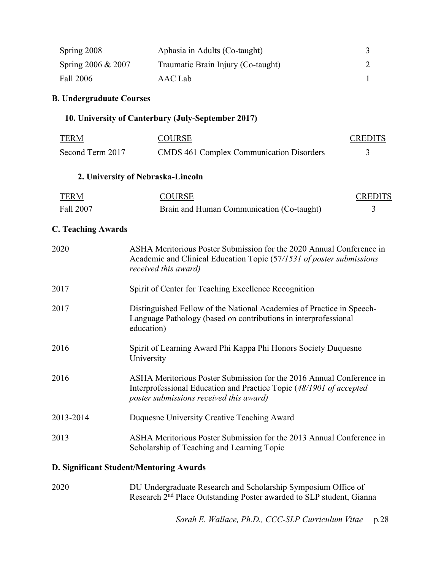| Spring 2008                     | Aphasia in Adults (Co-taught)                                                                                                                                                          | 3              |
|---------------------------------|----------------------------------------------------------------------------------------------------------------------------------------------------------------------------------------|----------------|
| Spring 2006 & 2007              | Traumatic Brain Injury (Co-taught)                                                                                                                                                     | $\overline{2}$ |
|                                 | <b>AAC</b> Lab                                                                                                                                                                         |                |
| Fall 2006                       |                                                                                                                                                                                        | 1              |
| <b>B. Undergraduate Courses</b> |                                                                                                                                                                                        |                |
|                                 | 10. University of Canterbury (July-September 2017)                                                                                                                                     |                |
| <b>TERM</b>                     | <b>COURSE</b>                                                                                                                                                                          | <b>CREDITS</b> |
| Second Term 2017                | <b>CMDS 461 Complex Communication Disorders</b>                                                                                                                                        | 3              |
|                                 | 2. University of Nebraska-Lincoln                                                                                                                                                      |                |
| <b>TERM</b>                     | <b>COURSE</b>                                                                                                                                                                          | <b>CREDITS</b> |
| Fall 2007                       | Brain and Human Communication (Co-taught)                                                                                                                                              | 3              |
| <b>C. Teaching Awards</b>       |                                                                                                                                                                                        |                |
| 2020                            | ASHA Meritorious Poster Submission for the 2020 Annual Conference in<br>Academic and Clinical Education Topic (57/1531 of poster submissions<br>received this award)                   |                |
| 2017                            | Spirit of Center for Teaching Excellence Recognition                                                                                                                                   |                |
| 2017                            | Distinguished Fellow of the National Academies of Practice in Speech-<br>Language Pathology (based on contributions in interprofessional<br>education)                                 |                |
| 2016                            | Spirit of Learning Award Phi Kappa Phi Honors Society Duquesne<br>University                                                                                                           |                |
| 2016                            | ASHA Meritorious Poster Submission for the 2016 Annual Conference in<br>Interprofessional Education and Practice Topic (48/1901 of accepted<br>poster submissions received this award) |                |
| 2013-2014                       | Duquesne University Creative Teaching Award                                                                                                                                            |                |
| 2013                            | ASHA Meritorious Poster Submission for the 2013 Annual Conference in<br>Scholarship of Teaching and Learning Topic                                                                     |                |
|                                 | D. Significant Student/Mentoring Awards                                                                                                                                                |                |

2020 DU Undergraduate Research and Scholarship Symposium Office of Research 2<sup>nd</sup> Place Outstanding Poster awarded to SLP student, Gianna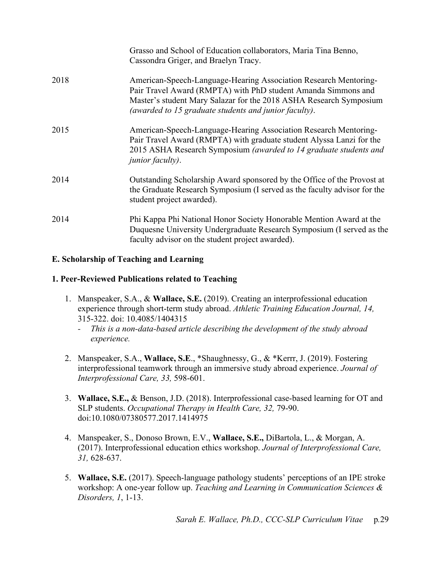|      | Grasso and School of Education collaborators, Maria Tina Benno,<br>Cassondra Griger, and Braelyn Tracy.                                                                                                                                                          |
|------|------------------------------------------------------------------------------------------------------------------------------------------------------------------------------------------------------------------------------------------------------------------|
| 2018 | American-Speech-Language-Hearing Association Research Mentoring-<br>Pair Travel Award (RMPTA) with PhD student Amanda Simmons and<br>Master's student Mary Salazar for the 2018 ASHA Research Symposium<br>(awarded to 15 graduate students and junior faculty). |
| 2015 | American-Speech-Language-Hearing Association Research Mentoring-<br>Pair Travel Award (RMPTA) with graduate student Alyssa Lanzi for the<br>2015 ASHA Research Symposium (awarded to 14 graduate students and<br><i>junior faculty).</i>                         |
| 2014 | Outstanding Scholarship Award sponsored by the Office of the Provost at<br>the Graduate Research Symposium (I served as the faculty advisor for the<br>student project awarded).                                                                                 |
| 2014 | Phi Kappa Phi National Honor Society Honorable Mention Award at the<br>Duquesne University Undergraduate Research Symposium (I served as the<br>faculty advisor on the student project awarded).                                                                 |

# **E. Scholarship of Teaching and Learning**

## **1. Peer-Reviewed Publications related to Teaching**

- 1. Manspeaker, S.A., & **Wallace, S.E.** (2019). Creating an interprofessional education experience through short-term study abroad. *Athletic Training Education Journal, 14,*  315-322. doi: 10.4085/1404315
	- *- This is a non-data-based article describing the development of the study abroad experience.*
- 2. Manspeaker, S.A., **Wallace, S.E**., \*Shaughnessy, G., & \*Kerrr, J. (2019). Fostering interprofessional teamwork through an immersive study abroad experience. *Journal of Interprofessional Care, 33,* 598-601.
- 3. **Wallace, S.E.,** & Benson, J.D. (2018). Interprofessional case-based learning for OT and SLP students. *Occupational Therapy in Health Care, 32,* 79-90. doi:10.1080/07380577.2017.1414975
- 4. Manspeaker, S., Donoso Brown, E.V., **Wallace, S.E.,** DiBartola, L., & Morgan, A. (2017). Interprofessional education ethics workshop. *Journal of Interprofessional Care, 31,* 628-637.
- 5. **Wallace, S.E.** (2017). Speech-language pathology students' perceptions of an IPE stroke workshop: A one-year follow up. *Teaching and Learning in Communication Sciences & Disorders, 1*, 1-13.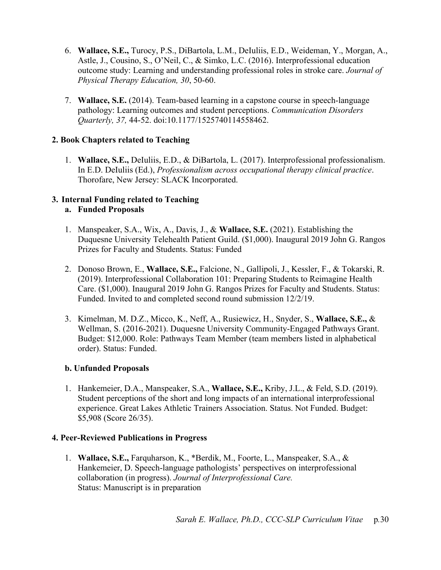- 6. **Wallace, S.E.,** Turocy, P.S., DiBartola, L.M., DeIuliis, E.D., Weideman, Y., Morgan, A., Astle, J., Cousino, S., O'Neil, C., & Simko, L.C. (2016). Interprofessional education outcome study: Learning and understanding professional roles in stroke care. *Journal of Physical Therapy Education, 30*, 50-60.
- 7. **Wallace, S.E.** (2014). Team-based learning in a capstone course in speech-language pathology: Learning outcomes and student perceptions. *Communication Disorders Quarterly, 37,* 44-52. doi:10.1177/1525740114558462.

## **2. Book Chapters related to Teaching**

1. **Wallace, S.E.,** DeIuliis, E.D., & DiBartola, L. (2017). Interprofessional professionalism. In E.D. DeIuliis (Ed.), *Professionalism across occupational therapy clinical practice*. Thorofare, New Jersey: SLACK Incorporated.

# **3. Internal Funding related to Teaching**

- **a. Funded Proposals**
- 1. Manspeaker, S.A., Wix, A., Davis, J., & **Wallace, S.E.** (2021). Establishing the Duquesne University Telehealth Patient Guild. (\$1,000). Inaugural 2019 John G. Rangos Prizes for Faculty and Students. Status: Funded
- 2. Donoso Brown, E., **Wallace, S.E.,** Falcione, N., Gallipoli, J., Kessler, F., & Tokarski, R. (2019). Interprofessional Collaboration 101: Preparing Students to Reimagine Health Care. (\$1,000). Inaugural 2019 John G. Rangos Prizes for Faculty and Students. Status: Funded. Invited to and completed second round submission 12/2/19.
- 3. Kimelman, M. D.Z., Micco, K., Neff, A., Rusiewicz, H., Snyder, S., **Wallace, S.E.,** & Wellman, S. (2016-2021). Duquesne University Community-Engaged Pathways Grant. Budget: \$12,000. Role: Pathways Team Member (team members listed in alphabetical order). Status: Funded.

# **b. Unfunded Proposals**

1. Hankemeier, D.A., Manspeaker, S.A., **Wallace, S.E.,** Kriby, J.L., & Feld, S.D. (2019). Student perceptions of the short and long impacts of an international interprofessional experience. Great Lakes Athletic Trainers Association. Status. Not Funded. Budget: \$5,908 (Score 26/35).

## **4. Peer-Reviewed Publications in Progress**

1. **Wallace, S.E.,** Farquharson, K., \*Berdik, M., Foorte, L., Manspeaker, S.A., & Hankemeier, D. Speech-language pathologists' perspectives on interprofessional collaboration (in progress). *Journal of Interprofessional Care.*  Status: Manuscript is in preparation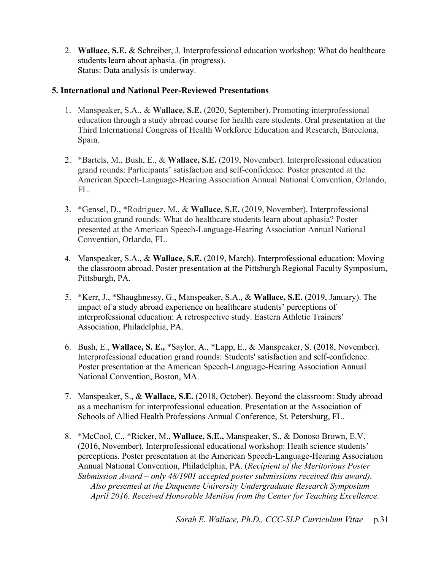2. **Wallace, S.E.** & Schreiber, J. Interprofessional education workshop: What do healthcare students learn about aphasia. (in progress). Status: Data analysis is underway.

## **5. International and National Peer-Reviewed Presentations**

- 1. Manspeaker, S.A., & **Wallace, S.E.** (2020, September). Promoting interprofessional education through a study abroad course for health care students. Oral presentation at the Third International Congress of Health Workforce Education and Research, Barcelona, Spain.
- 2. \*Bartels, M., Bush, E., & **Wallace, S.E.** (2019, November). Interprofessional education grand rounds: Participants' satisfaction and self-confidence. Poster presented at the American Speech-Language-Hearing Association Annual National Convention, Orlando, FL.
- 3. \*Gensel, D., \*Rodriguez, M., & **Wallace, S.E.** (2019, November). Interprofessional education grand rounds: What do healthcare students learn about aphasia? Poster presented at the American Speech-Language-Hearing Association Annual National Convention, Orlando, FL.
- 4. Manspeaker, S.A., & **Wallace, S.E.** (2019, March). Interprofessional education: Moving the classroom abroad. Poster presentation at the Pittsburgh Regional Faculty Symposium, Pittsburgh, PA.
- 5. \*Kerr, J., \*Shaughnessy, G., Manspeaker, S.A., & **Wallace, S.E.** (2019, January). The impact of a study abroad experience on healthcare students' perceptions of interprofessional education: A retrospective study. Eastern Athletic Trainers' Association, Philadelphia, PA.
- 6. Bush, E., **Wallace, S. E.,** \*Saylor, A., \*Lapp, E., & Manspeaker, S. (2018, November). Interprofessional education grand rounds: Students' satisfaction and self-confidence. Poster presentation at the American Speech-Language-Hearing Association Annual National Convention, Boston, MA.
- 7. Manspeaker, S., & **Wallace, S.E.** (2018, October). Beyond the classroom: Study abroad as a mechanism for interprofessional education. Presentation at the Association of Schools of Allied Health Professions Annual Conference, St. Petersburg, FL.
- 8. \*McCool, C., \*Ricker, M., **Wallace, S.E.,** Manspeaker, S., & Donoso Brown, E.V. (2016, November). Interprofessional educational workshop: Heath science students' perceptions. Poster presentation at the American Speech-Language-Hearing Association Annual National Convention, Philadelphia, PA. (*Recipient of the Meritorious Poster Submission Award – only 48/1901 accepted poster submissions received this award). Also presented at the Duquesne University Undergraduate Research Symposium April 2016. Received Honorable Mention from the Center for Teaching Excellence*.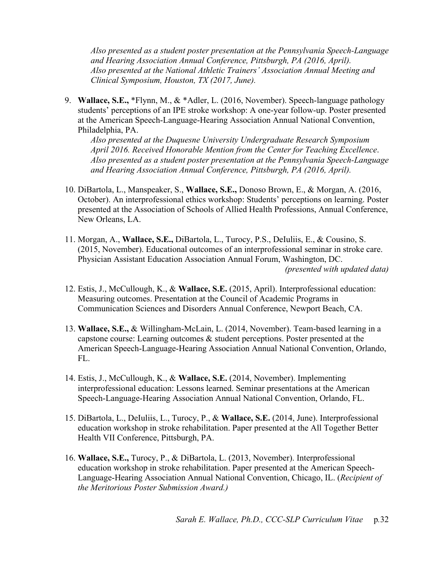*Also presented as a student poster presentation at the Pennsylvania Speech-Language and Hearing Association Annual Conference, Pittsburgh, PA (2016, April). Also presented at the National Athletic Trainers' Association Annual Meeting and Clinical Symposium, Houston, TX (2017, June).* 

9. **Wallace, S.E.,** \*Flynn, M., & \*Adler, L. (2016, November). Speech-language pathology students' perceptions of an IPE stroke workshop: A one-year follow-up. Poster presented at the American Speech-Language-Hearing Association Annual National Convention, Philadelphia, PA.

*Also presented at the Duquesne University Undergraduate Research Symposium April 2016. Received Honorable Mention from the Center for Teaching Excellence*. *Also presented as a student poster presentation at the Pennsylvania Speech-Language and Hearing Association Annual Conference, Pittsburgh, PA (2016, April).*

- 10. DiBartola, L., Manspeaker, S., **Wallace, S.E.,** Donoso Brown, E., & Morgan, A. (2016, October). An interprofessional ethics workshop: Students' perceptions on learning. Poster presented at the Association of Schools of Allied Health Professions, Annual Conference, New Orleans, LA.
- 11. Morgan, A., **Wallace, S.E.,** DiBartola, L., Turocy, P.S., DeIuliis, E., & Cousino, S. (2015, November). Educational outcomes of an interprofessional seminar in stroke care. Physician Assistant Education Association Annual Forum, Washington, DC. *(presented with updated data)*
- 12. Estis, J., McCullough, K., & **Wallace, S.E.** (2015, April). Interprofessional education: Measuring outcomes. Presentation at the Council of Academic Programs in Communication Sciences and Disorders Annual Conference, Newport Beach, CA.
- 13. **Wallace, S.E.,** & Willingham-McLain, L. (2014, November). Team-based learning in a capstone course: Learning outcomes & student perceptions. Poster presented at the American Speech-Language-Hearing Association Annual National Convention, Orlando, FL.
- 14. Estis, J., McCullough, K., & **Wallace, S.E.** (2014, November). Implementing interprofessional education: Lessons learned. Seminar presentations at the American Speech-Language-Hearing Association Annual National Convention, Orlando, FL.
- 15. DiBartola, L., DeIuliis, L., Turocy, P., & **Wallace, S.E.** (2014, June). Interprofessional education workshop in stroke rehabilitation. Paper presented at the All Together Better Health VII Conference, Pittsburgh, PA.
- 16. **Wallace, S.E.,** Turocy, P., & DiBartola, L. (2013, November). Interprofessional education workshop in stroke rehabilitation. Paper presented at the American Speech-Language-Hearing Association Annual National Convention, Chicago, IL. (*Recipient of the Meritorious Poster Submission Award.)*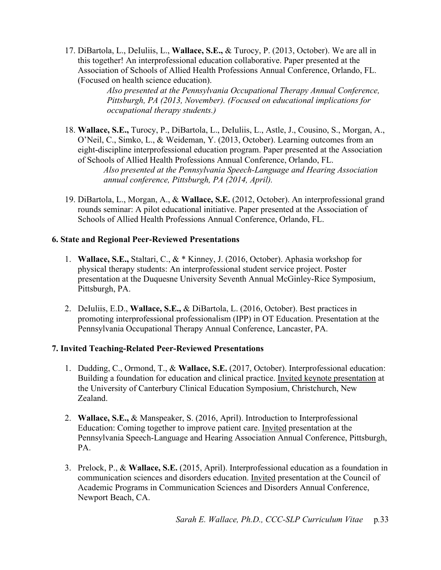17. DiBartola, L., DeIuliis, L., **Wallace, S.E.,** & Turocy, P. (2013, October). We are all in this together! An interprofessional education collaborative. Paper presented at the Association of Schools of Allied Health Professions Annual Conference, Orlando, FL. (Focused on health science education).

> *Also presented at the Pennsylvania Occupational Therapy Annual Conference, Pittsburgh, PA (2013, November). (Focused on educational implications for occupational therapy students.)*

18. **Wallace, S.E.,** Turocy, P., DiBartola, L., DeIuliis, L., Astle, J., Cousino, S., Morgan, A., O'Neil, C., Simko, L., & Weideman, Y. (2013, October). Learning outcomes from an eight-discipline interprofessional education program. Paper presented at the Association of Schools of Allied Health Professions Annual Conference, Orlando, FL.

*Also presented at the Pennsylvania Speech-Language and Hearing Association annual conference, Pittsburgh, PA (2014, April).*

19. DiBartola, L., Morgan, A., & **Wallace, S.E.** (2012, October). An interprofessional grand rounds seminar: A pilot educational initiative. Paper presented at the Association of Schools of Allied Health Professions Annual Conference, Orlando, FL.

## **6. State and Regional Peer-Reviewed Presentations**

- 1. **Wallace, S.E.,** Staltari, C., & \* Kinney, J. (2016, October). Aphasia workshop for physical therapy students: An interprofessional student service project. Poster presentation at the Duquesne University Seventh Annual McGinley-Rice Symposium, Pittsburgh, PA.
- 2. DeIuliis, E.D., **Wallace, S.E.,** & DiBartola, L. (2016, October). Best practices in promoting interprofessional professionalism (IPP) in OT Education. Presentation at the Pennsylvania Occupational Therapy Annual Conference, Lancaster, PA.

# **7. Invited Teaching-Related Peer-Reviewed Presentations**

- 1. Dudding, C., Ormond, T., & **Wallace, S.E.** (2017, October). Interprofessional education: Building a foundation for education and clinical practice. Invited keynote presentation at the University of Canterbury Clinical Education Symposium, Christchurch, New Zealand.
- 2. **Wallace, S.E.,** & Manspeaker, S. (2016, April). Introduction to Interprofessional Education: Coming together to improve patient care. Invited presentation at the Pennsylvania Speech-Language and Hearing Association Annual Conference, Pittsburgh, PA.
- 3. Prelock, P., & **Wallace, S.E.** (2015, April). Interprofessional education as a foundation in communication sciences and disorders education. Invited presentation at the Council of Academic Programs in Communication Sciences and Disorders Annual Conference, Newport Beach, CA.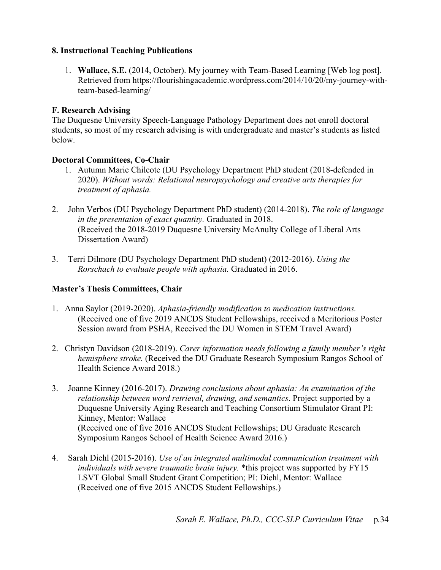## **8. Instructional Teaching Publications**

1. **Wallace, S.E.** (2014, October). My journey with Team-Based Learning [Web log post]. Retrieved from https://flourishingacademic.wordpress.com/2014/10/20/my-journey-withteam-based-learning/

# **F. Research Advising**

The Duquesne University Speech-Language Pathology Department does not enroll doctoral students, so most of my research advising is with undergraduate and master's students as listed below.

## **Doctoral Committees, Co-Chair**

- 1. Autumn Marie Chilcote (DU Psychology Department PhD student (2018-defended in 2020). *Without words: Relational neuropsychology and creative arts therapies for treatment of aphasia.*
- 2. John Verbos (DU Psychology Department PhD student) (2014-2018). *The role of language in the presentation of exact quantity.* Graduated in 2018. (Received the 2018-2019 Duquesne University McAnulty College of Liberal Arts Dissertation Award)
- 3. Terri Dilmore (DU Psychology Department PhD student) (2012-2016). *Using the Rorschach to evaluate people with aphasia.* Graduated in 2016.

# **Master's Thesis Committees, Chair**

- 1. Anna Saylor (2019-2020). *Aphasia-friendly modification to medication instructions.* (Received one of five 2019 ANCDS Student Fellowships, received a Meritorious Poster Session award from PSHA, Received the DU Women in STEM Travel Award)
- 2. Christyn Davidson (2018-2019). *Carer information needs following a family member's right hemisphere stroke.* (Received the DU Graduate Research Symposium Rangos School of Health Science Award 2018.)
- 3. Joanne Kinney (2016-2017). *Drawing conclusions about aphasia: An examination of the relationship between word retrieval, drawing, and semantics*. Project supported by a Duquesne University Aging Research and Teaching Consortium Stimulator Grant PI: Kinney, Mentor: Wallace (Received one of five 2016 ANCDS Student Fellowships; DU Graduate Research Symposium Rangos School of Health Science Award 2016.)
- 4. Sarah Diehl (2015-2016). *Use of an integrated multimodal communication treatment with individuals with severe traumatic brain injury.* \*this project was supported by FY15 LSVT Global Small Student Grant Competition; PI: Diehl, Mentor: Wallace (Received one of five 2015 ANCDS Student Fellowships.)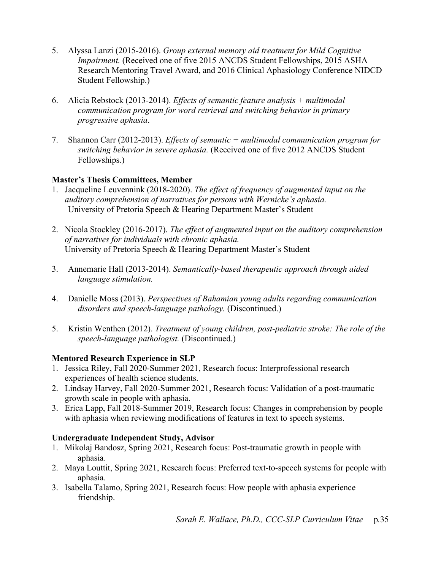- 5. Alyssa Lanzi (2015-2016). *Group external memory aid treatment for Mild Cognitive Impairment.* (Received one of five 2015 ANCDS Student Fellowships, 2015 ASHA Research Mentoring Travel Award, and 2016 Clinical Aphasiology Conference NIDCD Student Fellowship.)
- 6. Alicia Rebstock (2013-2014). *Effects of semantic feature analysis + multimodal communication program for word retrieval and switching behavior in primary progressive aphasia*.
- 7. Shannon Carr (2012-2013). *Effects of semantic + multimodal communication program for switching behavior in severe aphasia.* (Received one of five 2012 ANCDS Student Fellowships.)

## **Master's Thesis Committees, Member**

- 1. Jacqueline Leuvennink (2018-2020). *The effect of frequency of augmented input on the auditory comprehension of narratives for persons with Wernicke's aphasia.* University of Pretoria Speech & Hearing Department Master's Student
- 2. Nicola Stockley (2016-2017). *The effect of augmented input on the auditory comprehension of narratives for individuals with chronic aphasia.* University of Pretoria Speech & Hearing Department Master's Student
- 3. Annemarie Hall (2013-2014). *Semantically-based therapeutic approach through aided language stimulation.*
- 4. Danielle Moss (2013). *Perspectives of Bahamian young adults regarding communication disorders and speech-language pathology.* (Discontinued.)
- 5. Kristin Wenthen (2012). *Treatment of young children, post-pediatric stroke: The role of the speech-language pathologist.* (Discontinued.)

# **Mentored Research Experience in SLP**

- 1. Jessica Riley, Fall 2020-Summer 2021, Research focus: Interprofessional research experiences of health science students.
- 2. Lindsay Harvey, Fall 2020-Summer 2021, Research focus: Validation of a post-traumatic growth scale in people with aphasia.
- 3. Erica Lapp, Fall 2018-Summer 2019, Research focus: Changes in comprehension by people with aphasia when reviewing modifications of features in text to speech systems.

# **Undergraduate Independent Study, Advisor**

- 1. Mikolaj Bandosz, Spring 2021, Research focus: Post-traumatic growth in people with aphasia.
- 2. Maya Louttit, Spring 2021, Research focus: Preferred text-to-speech systems for people with aphasia.
- 3. Isabella Talamo, Spring 2021, Research focus: How people with aphasia experience friendship.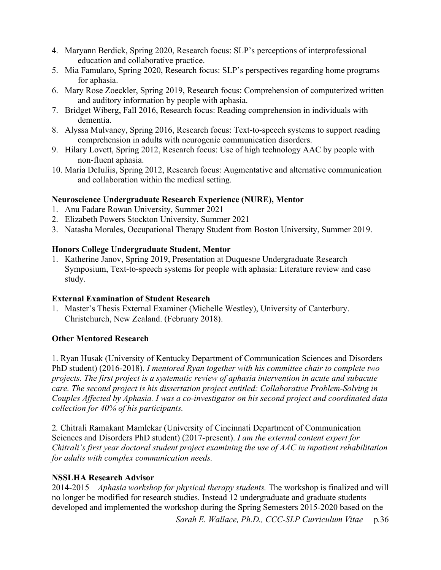- 4. Maryann Berdick, Spring 2020, Research focus: SLP's perceptions of interprofessional education and collaborative practice.
- 5. Mia Famularo, Spring 2020, Research focus: SLP's perspectives regarding home programs for aphasia.
- 6. Mary Rose Zoeckler, Spring 2019, Research focus: Comprehension of computerized written and auditory information by people with aphasia.
- 7. Bridget Wiberg, Fall 2016, Research focus: Reading comprehension in individuals with dementia.
- 8. Alyssa Mulvaney, Spring 2016, Research focus: Text-to-speech systems to support reading comprehension in adults with neurogenic communication disorders.
- 9. Hilary Lovett, Spring 2012, Research focus: Use of high technology AAC by people with non-fluent aphasia.
- 10. Maria DeIuliis, Spring 2012, Research focus: Augmentative and alternative communication and collaboration within the medical setting.

## **Neuroscience Undergraduate Research Experience (NURE), Mentor**

- 1. Anu Fadare Rowan University, Summer 2021
- 2. Elizabeth Powers Stockton University, Summer 2021
- 3. Natasha Morales, Occupational Therapy Student from Boston University, Summer 2019.

## **Honors College Undergraduate Student, Mentor**

1. Katherine Janov, Spring 2019, Presentation at Duquesne Undergraduate Research Symposium, Text-to-speech systems for people with aphasia: Literature review and case study.

## **External Examination of Student Research**

1. Master's Thesis External Examiner (Michelle Westley), University of Canterbury. Christchurch, New Zealand. (February 2018).

## **Other Mentored Research**

1. Ryan Husak (University of Kentucky Department of Communication Sciences and Disorders PhD student) (2016-2018). *I mentored Ryan together with his committee chair to complete two projects. The first project is a systematic review of aphasia intervention in acute and subacute care. The second project is his dissertation project entitled: Collaborative Problem-Solving in Couples Affected by Aphasia. I was a co-investigator on his second project and coordinated data collection for 40% of his participants.* 

2*.* Chitrali Ramakant Mamlekar (University of Cincinnati Department of Communication Sciences and Disorders PhD student) (2017-present). *I am the external content expert for Chitrali's first year doctoral student project examining the use of AAC in inpatient rehabilitation for adults with complex communication needs.*

## **NSSLHA Research Advisor**

2014-2015 – *Aphasia workshop for physical therapy students.* The workshop is finalized and will no longer be modified for research studies. Instead 12 undergraduate and graduate students developed and implemented the workshop during the Spring Semesters 2015-2020 based on the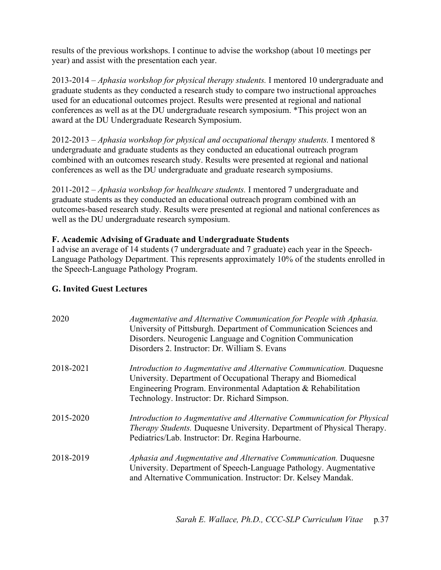results of the previous workshops. I continue to advise the workshop (about 10 meetings per year) and assist with the presentation each year.

2013-2014 – *Aphasia workshop for physical therapy students.* I mentored 10 undergraduate and graduate students as they conducted a research study to compare two instructional approaches used for an educational outcomes project. Results were presented at regional and national conferences as well as at the DU undergraduate research symposium. \*This project won an award at the DU Undergraduate Research Symposium.

2012-2013 – *Aphasia workshop for physical and occupational therapy students.* I mentored 8 undergraduate and graduate students as they conducted an educational outreach program combined with an outcomes research study. Results were presented at regional and national conferences as well as the DU undergraduate and graduate research symposiums.

2011-2012 – *Aphasia workshop for healthcare students.* I mentored 7 undergraduate and graduate students as they conducted an educational outreach program combined with an outcomes-based research study. Results were presented at regional and national conferences as well as the DU undergraduate research symposium.

## **F. Academic Advising of Graduate and Undergraduate Students**

I advise an average of 14 students (7 undergraduate and 7 graduate) each year in the Speech-Language Pathology Department. This represents approximately 10% of the students enrolled in the Speech-Language Pathology Program.

## **G. Invited Guest Lectures**

| 2020      | Augmentative and Alternative Communication for People with Aphasia.<br>University of Pittsburgh. Department of Communication Sciences and<br>Disorders. Neurogenic Language and Cognition Communication<br>Disorders 2. Instructor: Dr. William S. Evans |
|-----------|----------------------------------------------------------------------------------------------------------------------------------------------------------------------------------------------------------------------------------------------------------|
| 2018-2021 | Introduction to Augmentative and Alternative Communication. Duquesne<br>University. Department of Occupational Therapy and Biomedical<br>Engineering Program. Environmental Adaptation & Rehabilitation<br>Technology. Instructor: Dr. Richard Simpson.  |
| 2015-2020 | Introduction to Augmentative and Alternative Communication for Physical<br>Therapy Students. Duquesne University. Department of Physical Therapy.<br>Pediatrics/Lab. Instructor: Dr. Regina Harbourne.                                                   |
| 2018-2019 | Aphasia and Augmentative and Alternative Communication. Duquesne<br>University. Department of Speech-Language Pathology. Augmentative<br>and Alternative Communication. Instructor: Dr. Kelsey Mandak.                                                   |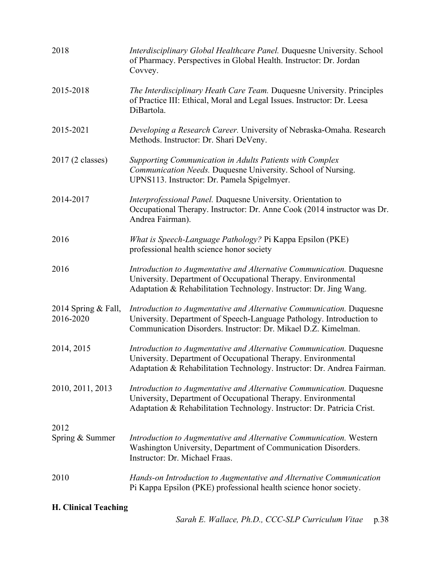| 2018                             | Interdisciplinary Global Healthcare Panel. Duquesne University. School<br>of Pharmacy. Perspectives in Global Health. Instructor: Dr. Jordan<br>Covvey.                                                          |
|----------------------------------|------------------------------------------------------------------------------------------------------------------------------------------------------------------------------------------------------------------|
| 2015-2018                        | The Interdisciplinary Heath Care Team. Duquesne University. Principles<br>of Practice III: Ethical, Moral and Legal Issues. Instructor: Dr. Leesa<br>DiBartola.                                                  |
| 2015-2021                        | Developing a Research Career. University of Nebraska-Omaha. Research<br>Methods. Instructor: Dr. Shari DeVeny.                                                                                                   |
| 2017 (2 classes)                 | Supporting Communication in Adults Patients with Complex<br>Communication Needs. Duquesne University. School of Nursing.<br>UPNS113. Instructor: Dr. Pamela Spigelmyer.                                          |
| 2014-2017                        | Interprofessional Panel. Duquesne University. Orientation to<br>Occupational Therapy. Instructor: Dr. Anne Cook (2014 instructor was Dr.<br>Andrea Fairman).                                                     |
| 2016                             | What is Speech-Language Pathology? Pi Kappa Epsilon (PKE)<br>professional health science honor society                                                                                                           |
| 2016                             | Introduction to Augmentative and Alternative Communication. Duquesne<br>University. Department of Occupational Therapy. Environmental<br>Adaptation & Rehabilitation Technology. Instructor: Dr. Jing Wang.      |
| 2014 Spring & Fall,<br>2016-2020 | Introduction to Augmentative and Alternative Communication. Duquesne<br>University. Department of Speech-Language Pathology. Introduction to<br>Communication Disorders. Instructor: Dr. Mikael D.Z. Kimelman.   |
| 2014, 2015                       | Introduction to Augmentative and Alternative Communication. Duquesne<br>University. Department of Occupational Therapy. Environmental<br>Adaptation & Rehabilitation Technology. Instructor: Dr. Andrea Fairman. |
| 2010, 2011, 2013                 | Introduction to Augmentative and Alternative Communication. Duquesne<br>University, Department of Occupational Therapy. Environmental<br>Adaptation & Rehabilitation Technology. Instructor: Dr. Patricia Crist. |
| 2012                             |                                                                                                                                                                                                                  |
| Spring & Summer                  | Introduction to Augmentative and Alternative Communication. Western<br>Washington University, Department of Communication Disorders.<br>Instructor: Dr. Michael Fraas.                                           |
| 2010                             | Hands-on Introduction to Augmentative and Alternative Communication<br>Pi Kappa Epsilon (PKE) professional health science honor society.                                                                         |
| <b>H. Clinical Teaching</b>      |                                                                                                                                                                                                                  |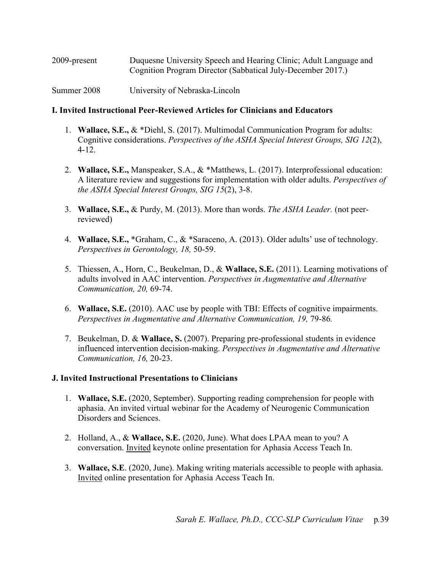| 2009-present | Duquesne University Speech and Hearing Clinic; Adult Language and |
|--------------|-------------------------------------------------------------------|
|              | Cognition Program Director (Sabbatical July-December 2017.)       |

Summer 2008 University of Nebraska-Lincoln

#### **I. Invited Instructional Peer-Reviewed Articles for Clinicians and Educators**

- 1. **Wallace, S.E.,** & \*Diehl, S. (2017). Multimodal Communication Program for adults: Cognitive considerations. *Perspectives of the ASHA Special Interest Groups, SIG 12*(2), 4-12.
- 2. **Wallace, S.E.,** Manspeaker, S.A., & \*Matthews, L. (2017). Interprofessional education: A literature review and suggestions for implementation with older adults. *Perspectives of the ASHA Special Interest Groups, SIG 15*(2), 3-8.
- 3. **Wallace, S.E.,** & Purdy, M. (2013). More than words. *The ASHA Leader.* (not peerreviewed)
- 4. **Wallace, S.E.,** \*Graham, C., & \*Saraceno, A. (2013). Older adults' use of technology. *Perspectives in Gerontology, 18,* 50-59.
- 5. Thiessen, A., Horn, C., Beukelman, D., & **Wallace, S.E.** (2011). Learning motivations of adults involved in AAC intervention. *Perspectives in Augmentative and Alternative Communication, 20,* 69-74.
- 6. **Wallace, S.E.** (2010). AAC use by people with TBI: Effects of cognitive impairments. *Perspectives in Augmentative and Alternative Communication, 19, 79-86.*
- 7. Beukelman, D. & **Wallace, S.** (2007). Preparing pre-professional students in evidence influenced intervention decision-making. *Perspectives in Augmentative and Alternative Communication, 16,* 20-23.

## **J. Invited Instructional Presentations to Clinicians**

- 1. **Wallace, S.E.** (2020, September). Supporting reading comprehension for people with aphasia. An invited virtual webinar for the Academy of Neurogenic Communication Disorders and Sciences.
- 2. Holland, A., & **Wallace, S.E.** (2020, June). What does LPAA mean to you? A conversation. Invited keynote online presentation for Aphasia Access Teach In.
- 3. **Wallace, S.E**. (2020, June). Making writing materials accessible to people with aphasia. Invited online presentation for Aphasia Access Teach In.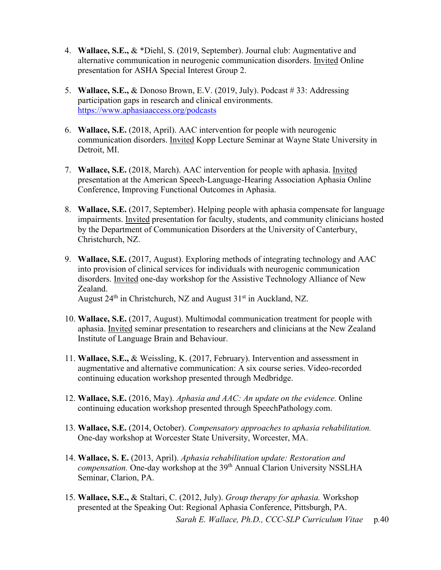- 4. **Wallace, S.E.,** & \*Diehl, S. (2019, September). Journal club: Augmentative and alternative communication in neurogenic communication disorders. Invited Online presentation for ASHA Special Interest Group 2.
- 5. **Wallace, S.E.,** & Donoso Brown, E.V. (2019, July). Podcast # 33: Addressing participation gaps in research and clinical environments. <https://www.aphasiaaccess.org/podcasts>
- 6. **Wallace, S.E.** (2018, April). AAC intervention for people with neurogenic communication disorders. Invited Kopp Lecture Seminar at Wayne State University in Detroit, MI.
- 7. **Wallace, S.E.** (2018, March). AAC intervention for people with aphasia. Invited presentation at the American Speech-Language-Hearing Association Aphasia Online Conference, Improving Functional Outcomes in Aphasia.
- 8. **Wallace, S.E.** (2017, September). Helping people with aphasia compensate for language impairments. Invited presentation for faculty, students, and community clinicians hosted by the Department of Communication Disorders at the University of Canterbury, Christchurch, NZ.
- 9. **Wallace, S.E.** (2017, August). Exploring methods of integrating technology and AAC into provision of clinical services for individuals with neurogenic communication disorders. Invited one-day workshop for the Assistive Technology Alliance of New Zealand. August 24<sup>th</sup> in Christchurch, NZ and August 31<sup>st</sup> in Auckland, NZ.
- 10. **Wallace, S.E.** (2017, August). Multimodal communication treatment for people with aphasia. Invited seminar presentation to researchers and clinicians at the New Zealand Institute of Language Brain and Behaviour.
- 11. **Wallace, S.E.,** & Weissling, K. (2017, February). Intervention and assessment in augmentative and alternative communication: A six course series. Video-recorded continuing education workshop presented through Medbridge.
- 12. **Wallace, S.E.** (2016, May). *Aphasia and AAC: An update on the evidence.* Online continuing education workshop presented through SpeechPathology.com.
- 13. **Wallace, S.E.** (2014, October). *Compensatory approaches to aphasia rehabilitation.*  One-day workshop at Worcester State University, Worcester, MA.
- 14. **Wallace, S. E.** (2013, April). *Aphasia rehabilitation update: Restoration and compensation.* One-day workshop at the 39<sup>th</sup> Annual Clarion University NSSLHA Seminar, Clarion, PA.
- 15. **Wallace, S.E.,** & Staltari, C. (2012, July). *Group therapy for aphasia.* Workshop presented at the Speaking Out: Regional Aphasia Conference, Pittsburgh, PA.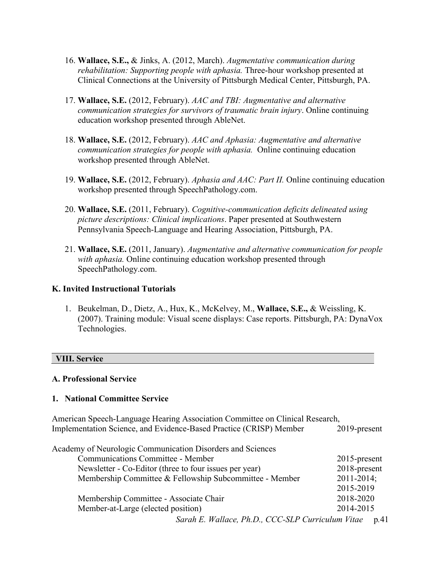- 16. **Wallace, S.E.,** & Jinks, A. (2012, March). *Augmentative communication during rehabilitation: Supporting people with aphasia.* Three-hour workshop presented at Clinical Connections at the University of Pittsburgh Medical Center, Pittsburgh, PA.
- 17. **Wallace, S.E.** (2012, February). *AAC and TBI: Augmentative and alternative communication strategies for survivors of traumatic brain injury*. Online continuing education workshop presented through AbleNet.
- 18. **Wallace, S.E.** (2012, February). *AAC and Aphasia: Augmentative and alternative communication strategies for people with aphasia.* Online continuing education workshop presented through AbleNet.
- 19. **Wallace, S.E.** (2012, February). *Aphasia and AAC: Part II.* Online continuing education workshop presented through SpeechPathology.com.
- 20. **Wallace, S.E.** (2011, February). *Cognitive-communication deficits delineated using picture descriptions: Clinical implications*. Paper presented at Southwestern Pennsylvania Speech-Language and Hearing Association, Pittsburgh, PA.
- 21. **Wallace, S.E.** (2011, January). *Augmentative and alternative communication for people with aphasia.* Online continuing education workshop presented through SpeechPathology.com.

#### **K. Invited Instructional Tutorials**

1. Beukelman, D., Dietz, A., Hux, K., McKelvey, M., **Wallace, S.E.,** & Weissling, K. (2007). Training module: Visual scene displays: Case reports. Pittsburgh, PA: DynaVox Technologies.

#### **VIII. Service**

#### **A. Professional Service**

#### **1. National Committee Service**

American Speech-Language Hearing Association Committee on Clinical Research, Implementation Science, and Evidence-Based Practice (CRISP) Member 2019-present

| Academy of Neurologic Communication Disorders and Sciences |                 |
|------------------------------------------------------------|-----------------|
| Communications Committee - Member                          | $2015$ -present |
| Newsletter - Co-Editor (three to four issues per year)     | 2018-present    |
| Membership Committee & Fellowship Subcommittee - Member    | $2011 - 2014$ ; |
|                                                            | 2015-2019       |
| Membership Committee - Associate Chair                     | 2018-2020       |
| Member-at-Large (elected position)                         | 2014-2015       |
| Sarah E. Wallace, Ph.D., CCC-SLP Curriculum Vitae          | p.41            |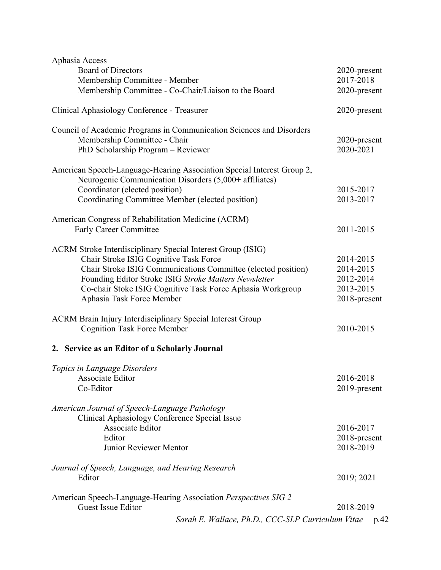| Aphasia Access                                                         |              |
|------------------------------------------------------------------------|--------------|
| <b>Board of Directors</b>                                              | 2020-present |
| Membership Committee - Member                                          | 2017-2018    |
| Membership Committee - Co-Chair/Liaison to the Board                   | 2020-present |
|                                                                        |              |
| Clinical Aphasiology Conference - Treasurer                            | 2020-present |
|                                                                        |              |
| Council of Academic Programs in Communication Sciences and Disorders   |              |
| Membership Committee - Chair                                           | 2020-present |
| PhD Scholarship Program - Reviewer                                     | 2020-2021    |
|                                                                        |              |
| American Speech-Language-Hearing Association Special Interest Group 2, |              |
| Neurogenic Communication Disorders (5,000+ affiliates)                 |              |
| Coordinator (elected position)                                         | 2015-2017    |
| Coordinating Committee Member (elected position)                       | 2013-2017    |
|                                                                        |              |
| American Congress of Rehabilitation Medicine (ACRM)                    |              |
| Early Career Committee                                                 | 2011-2015    |
|                                                                        |              |
| ACRM Stroke Interdisciplinary Special Interest Group (ISIG)            |              |
| Chair Stroke ISIG Cognitive Task Force                                 | 2014-2015    |
| Chair Stroke ISIG Communications Committee (elected position)          | 2014-2015    |
| Founding Editor Stroke ISIG Stroke Matters Newsletter                  | 2012-2014    |
| Co-chair Stoke ISIG Cognitive Task Force Aphasia Workgroup             | 2013-2015    |
| Aphasia Task Force Member                                              | 2018-present |
|                                                                        |              |
| <b>ACRM Brain Injury Interdisciplinary Special Interest Group</b>      |              |
| <b>Cognition Task Force Member</b>                                     | 2010-2015    |
|                                                                        |              |
| 2. Service as an Editor of a Scholarly Journal                         |              |
|                                                                        |              |
| Topics in Language Disorders                                           |              |
| Associate Editor                                                       | 2016-2018    |
| Co-Editor                                                              | 2019-present |
|                                                                        |              |
| American Journal of Speech-Language Pathology                          |              |
| Clinical Aphasiology Conference Special Issue                          |              |
| Associate Editor                                                       | 2016-2017    |
| Editor                                                                 | 2018-present |
| Junior Reviewer Mentor                                                 | 2018-2019    |
|                                                                        |              |
| Journal of Speech, Language, and Hearing Research                      |              |
| Editor                                                                 | 2019; 2021   |
|                                                                        |              |
| American Speech-Language-Hearing Association Perspectives SIG 2        |              |
| <b>Guest Issue Editor</b>                                              | 2018-2019    |
|                                                                        |              |
| Sarah E. Wallace, Ph.D., CCC-SLP Curriculum Vitae                      | p.42         |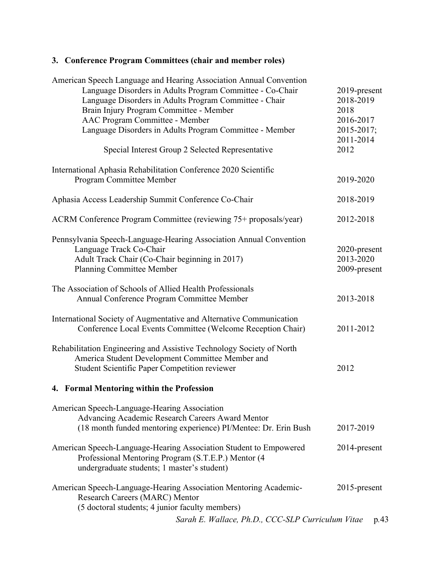# **3. Conference Program Committees (chair and member roles)**

| American Speech Language and Hearing Association Annual Convention<br>Language Disorders in Adults Program Committee - Co-Chair<br>Language Disorders in Adults Program Committee - Chair<br>Brain Injury Program Committee - Member<br>AAC Program Committee - Member<br>Language Disorders in Adults Program Committee - Member<br>Special Interest Group 2 Selected Representative | 2019-present<br>2018-2019<br>2018<br>2016-2017<br>2015-2017;<br>2011-2014<br>2012 |
|---------------------------------------------------------------------------------------------------------------------------------------------------------------------------------------------------------------------------------------------------------------------------------------------------------------------------------------------------------------------------------------|-----------------------------------------------------------------------------------|
| International Aphasia Rehabilitation Conference 2020 Scientific<br>Program Committee Member                                                                                                                                                                                                                                                                                           | 2019-2020                                                                         |
| Aphasia Access Leadership Summit Conference Co-Chair                                                                                                                                                                                                                                                                                                                                  | 2018-2019                                                                         |
| ACRM Conference Program Committee (reviewing 75+ proposals/year)                                                                                                                                                                                                                                                                                                                      | 2012-2018                                                                         |
| Pennsylvania Speech-Language-Hearing Association Annual Convention<br>Language Track Co-Chair<br>Adult Track Chair (Co-Chair beginning in 2017)<br><b>Planning Committee Member</b>                                                                                                                                                                                                   | 2020-present<br>2013-2020<br>2009-present                                         |
| The Association of Schools of Allied Health Professionals<br>Annual Conference Program Committee Member                                                                                                                                                                                                                                                                               | 2013-2018                                                                         |
| International Society of Augmentative and Alternative Communication<br>Conference Local Events Committee (Welcome Reception Chair)                                                                                                                                                                                                                                                    | 2011-2012                                                                         |
| Rehabilitation Engineering and Assistive Technology Society of North<br>America Student Development Committee Member and<br>Student Scientific Paper Competition reviewer                                                                                                                                                                                                             | 2012                                                                              |
| 4. Formal Mentoring within the Profession                                                                                                                                                                                                                                                                                                                                             |                                                                                   |
| American Speech-Language-Hearing Association<br>Advancing Academic Research Careers Award Mentor<br>(18 month funded mentoring experience) PI/Mentee: Dr. Erin Bush                                                                                                                                                                                                                   | 2017-2019                                                                         |
| American Speech-Language-Hearing Association Student to Empowered<br>Professional Mentoring Program (S.T.E.P.) Mentor (4<br>undergraduate students; 1 master's student)                                                                                                                                                                                                               | 2014-present                                                                      |
| American Speech-Language-Hearing Association Mentoring Academic-<br>Research Careers (MARC) Mentor<br>(5 doctoral students; 4 junior faculty members)                                                                                                                                                                                                                                 | $2015$ -present                                                                   |
| Sarah E. Wallace, Ph.D., CCC-SLP Curriculum Vitae                                                                                                                                                                                                                                                                                                                                     | p.43                                                                              |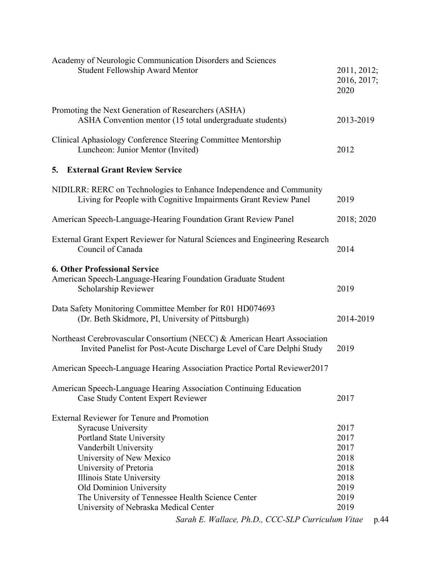| <b>Student Fellowship Award Mentor</b>                                                                                                                                                                                                                                                                   | 2011, 2012;<br>2016, 2017;<br>2020                           |
|----------------------------------------------------------------------------------------------------------------------------------------------------------------------------------------------------------------------------------------------------------------------------------------------------------|--------------------------------------------------------------|
| Promoting the Next Generation of Researchers (ASHA)<br>ASHA Convention mentor (15 total undergraduate students)                                                                                                                                                                                          | 2013-2019                                                    |
| Clinical Aphasiology Conference Steering Committee Mentorship<br>Luncheon: Junior Mentor (Invited)                                                                                                                                                                                                       | 2012                                                         |
| <b>External Grant Review Service</b><br>5.                                                                                                                                                                                                                                                               |                                                              |
| NIDILRR: RERC on Technologies to Enhance Independence and Community<br>Living for People with Cognitive Impairments Grant Review Panel                                                                                                                                                                   | 2019                                                         |
| American Speech-Language-Hearing Foundation Grant Review Panel                                                                                                                                                                                                                                           | 2018; 2020                                                   |
| External Grant Expert Reviewer for Natural Sciences and Engineering Research<br>Council of Canada                                                                                                                                                                                                        | 2014                                                         |
| <b>6. Other Professional Service</b><br>American Speech-Language-Hearing Foundation Graduate Student<br>Scholarship Reviewer                                                                                                                                                                             | 2019                                                         |
| Data Safety Monitoring Committee Member for R01 HD074693<br>(Dr. Beth Skidmore, PI, University of Pittsburgh)                                                                                                                                                                                            | 2014-2019                                                    |
| Northeast Cerebrovascular Consortium (NECC) & American Heart Association<br>Invited Panelist for Post-Acute Discharge Level of Care Delphi Study                                                                                                                                                         | 2019                                                         |
| American Speech-Language Hearing Association Practice Portal Reviewer2017                                                                                                                                                                                                                                |                                                              |
| American Speech-Language Hearing Association Continuing Education<br>Case Study Content Expert Reviewer                                                                                                                                                                                                  | 2017                                                         |
| <b>External Reviewer for Tenure and Promotion</b><br><b>Syracuse University</b><br>Portland State University<br>Vanderbilt University<br>University of New Mexico<br>University of Pretoria<br>Illinois State University<br>Old Dominion University<br>The University of Tennessee Health Science Center | 2017<br>2017<br>2017<br>2018<br>2018<br>2018<br>2019<br>2019 |
| University of Nebraska Medical Center<br>Sarah E. Wallace, Ph.D., CCC-SLP Curriculum Vitae                                                                                                                                                                                                               | 2019<br>p.44                                                 |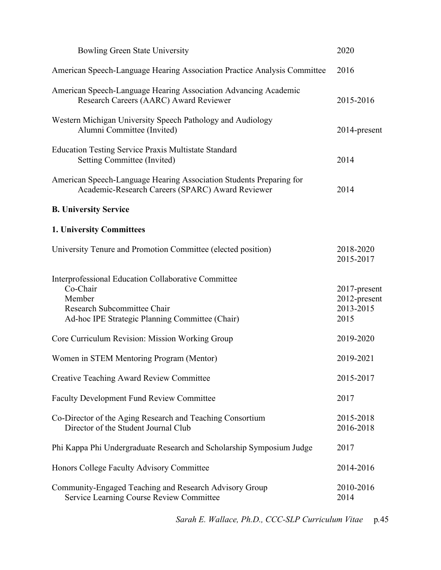| <b>Bowling Green State University</b>                                                                                                                       | 2020                                              |
|-------------------------------------------------------------------------------------------------------------------------------------------------------------|---------------------------------------------------|
| American Speech-Language Hearing Association Practice Analysis Committee                                                                                    | 2016                                              |
| American Speech-Language Hearing Association Advancing Academic<br>Research Careers (AARC) Award Reviewer                                                   | 2015-2016                                         |
| Western Michigan University Speech Pathology and Audiology<br>Alumni Committee (Invited)                                                                    | 2014-present                                      |
| <b>Education Testing Service Praxis Multistate Standard</b><br>Setting Committee (Invited)                                                                  | 2014                                              |
| American Speech-Language Hearing Association Students Preparing for<br>Academic-Research Careers (SPARC) Award Reviewer                                     | 2014                                              |
| <b>B. University Service</b>                                                                                                                                |                                                   |
| <b>1. University Committees</b>                                                                                                                             |                                                   |
| University Tenure and Promotion Committee (elected position)                                                                                                | 2018-2020<br>2015-2017                            |
| Interprofessional Education Collaborative Committee<br>Co-Chair<br>Member<br>Research Subcommittee Chair<br>Ad-hoc IPE Strategic Planning Committee (Chair) | 2017-present<br>2012-present<br>2013-2015<br>2015 |
| Core Curriculum Revision: Mission Working Group                                                                                                             | 2019-2020                                         |
| Women in STEM Mentoring Program (Mentor)                                                                                                                    | 2019-2021                                         |
| <b>Creative Teaching Award Review Committee</b>                                                                                                             | 2015-2017                                         |
| <b>Faculty Development Fund Review Committee</b>                                                                                                            | 2017                                              |
| Co-Director of the Aging Research and Teaching Consortium<br>Director of the Student Journal Club                                                           | 2015-2018<br>2016-2018                            |
| Phi Kappa Phi Undergraduate Research and Scholarship Symposium Judge                                                                                        | 2017                                              |
| Honors College Faculty Advisory Committee                                                                                                                   | 2014-2016                                         |
| Community-Engaged Teaching and Research Advisory Group<br>Service Learning Course Review Committee                                                          | 2010-2016<br>2014                                 |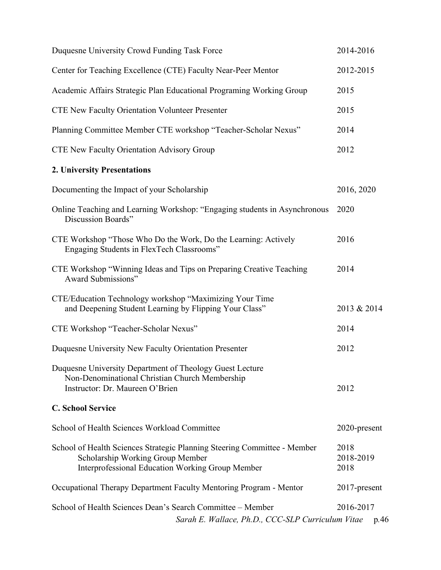| Duquesne University Crowd Funding Task Force                                                                                                                            | 2014-2016                 |
|-------------------------------------------------------------------------------------------------------------------------------------------------------------------------|---------------------------|
| Center for Teaching Excellence (CTE) Faculty Near-Peer Mentor                                                                                                           | 2012-2015                 |
| Academic Affairs Strategic Plan Educational Programing Working Group                                                                                                    | 2015                      |
| <b>CTE New Faculty Orientation Volunteer Presenter</b>                                                                                                                  | 2015                      |
| Planning Committee Member CTE workshop "Teacher-Scholar Nexus"                                                                                                          | 2014                      |
| <b>CTE New Faculty Orientation Advisory Group</b>                                                                                                                       | 2012                      |
| <b>2. University Presentations</b>                                                                                                                                      |                           |
| Documenting the Impact of your Scholarship                                                                                                                              | 2016, 2020                |
| Online Teaching and Learning Workshop: "Engaging students in Asynchronous<br>Discussion Boards"                                                                         | 2020                      |
| CTE Workshop "Those Who Do the Work, Do the Learning: Actively<br>Engaging Students in FlexTech Classrooms"                                                             | 2016                      |
| CTE Workshop "Winning Ideas and Tips on Preparing Creative Teaching<br>Award Submissions"                                                                               | 2014                      |
| CTE/Education Technology workshop "Maximizing Your Time<br>and Deepening Student Learning by Flipping Your Class"                                                       | 2013 & 2014               |
| CTE Workshop "Teacher-Scholar Nexus"                                                                                                                                    | 2014                      |
| Duquesne University New Faculty Orientation Presenter                                                                                                                   | 2012                      |
| Duquesne University Department of Theology Guest Lecture<br>Non-Denominational Christian Church Membership<br>Instructor: Dr. Maureen O'Brien                           | 2012                      |
| <b>C. School Service</b>                                                                                                                                                |                           |
| School of Health Sciences Workload Committee                                                                                                                            | 2020-present              |
| School of Health Sciences Strategic Planning Steering Committee - Member<br>Scholarship Working Group Member<br><b>Interprofessional Education Working Group Member</b> | 2018<br>2018-2019<br>2018 |
| Occupational Therapy Department Faculty Mentoring Program - Mentor                                                                                                      | 2017-present              |
| School of Health Sciences Dean's Search Committee – Member<br>Sarah E. Wallace, Ph.D., CCC-SLP Curriculum Vitae                                                         | 2016-2017<br>p.46         |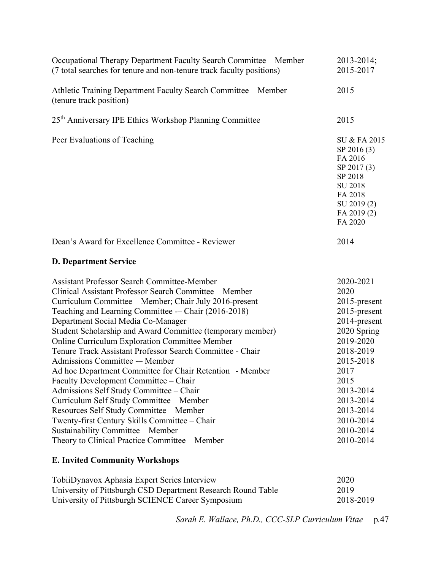| Occupational Therapy Department Faculty Search Committee - Member<br>(7 total searches for tenure and non-tenure track faculty positions)                                                                                                                                                                                                                                                                                                                                                                                                                                                                                                                                                                                                                                                                                                                                                                 | 2013-2014;<br>2015-2017                                                                                                                                                                                               |
|-----------------------------------------------------------------------------------------------------------------------------------------------------------------------------------------------------------------------------------------------------------------------------------------------------------------------------------------------------------------------------------------------------------------------------------------------------------------------------------------------------------------------------------------------------------------------------------------------------------------------------------------------------------------------------------------------------------------------------------------------------------------------------------------------------------------------------------------------------------------------------------------------------------|-----------------------------------------------------------------------------------------------------------------------------------------------------------------------------------------------------------------------|
| Athletic Training Department Faculty Search Committee - Member<br>(tenure track position)                                                                                                                                                                                                                                                                                                                                                                                                                                                                                                                                                                                                                                                                                                                                                                                                                 | 2015                                                                                                                                                                                                                  |
| 25 <sup>th</sup> Anniversary IPE Ethics Workshop Planning Committee                                                                                                                                                                                                                                                                                                                                                                                                                                                                                                                                                                                                                                                                                                                                                                                                                                       | 2015                                                                                                                                                                                                                  |
| Peer Evaluations of Teaching                                                                                                                                                                                                                                                                                                                                                                                                                                                                                                                                                                                                                                                                                                                                                                                                                                                                              | SU & FA 2015<br>SP 2016 (3)<br>FA 2016<br>SP 2017 (3)<br>SP 2018<br>SU 2018<br>FA 2018<br>SU 2019 (2)<br>FA 2019 (2)<br>FA 2020                                                                                       |
| Dean's Award for Excellence Committee - Reviewer                                                                                                                                                                                                                                                                                                                                                                                                                                                                                                                                                                                                                                                                                                                                                                                                                                                          | 2014                                                                                                                                                                                                                  |
| <b>D. Department Service</b>                                                                                                                                                                                                                                                                                                                                                                                                                                                                                                                                                                                                                                                                                                                                                                                                                                                                              |                                                                                                                                                                                                                       |
| <b>Assistant Professor Search Committee-Member</b><br>Clinical Assistant Professor Search Committee – Member<br>Curriculum Committee – Member; Chair July 2016-present<br>Teaching and Learning Committee - Chair (2016-2018)<br>Department Social Media Co-Manager<br>Student Scholarship and Award Committee (temporary member)<br>Online Curriculum Exploration Committee Member<br>Tenure Track Assistant Professor Search Committee - Chair<br>Admissions Committee - Member<br>Ad hoc Department Committee for Chair Retention - Member<br>Faculty Development Committee - Chair<br>Admissions Self Study Committee - Chair<br>Curriculum Self Study Committee - Member<br>Resources Self Study Committee - Member<br>Twenty-first Century Skills Committee - Chair<br>Sustainability Committee - Member<br>Theory to Clinical Practice Committee – Member<br><b>E. Invited Community Workshops</b> | 2020-2021<br>2020<br>2015-present<br>2015-present<br>2014-present<br>2020 Spring<br>2019-2020<br>2018-2019<br>2015-2018<br>2017<br>2015<br>2013-2014<br>2013-2014<br>2013-2014<br>2010-2014<br>2010-2014<br>2010-2014 |
|                                                                                                                                                                                                                                                                                                                                                                                                                                                                                                                                                                                                                                                                                                                                                                                                                                                                                                           |                                                                                                                                                                                                                       |

| TobiiDynavox Aphasia Expert Series Interview                 | 2020      |
|--------------------------------------------------------------|-----------|
| University of Pittsburgh CSD Department Research Round Table | 2019      |
| University of Pittsburgh SCIENCE Career Symposium            | 2018-2019 |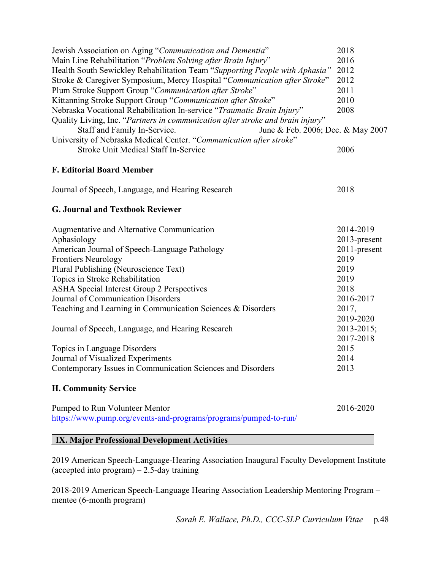| Jewish Association on Aging "Communication and Dementia"                       | 2018         |
|--------------------------------------------------------------------------------|--------------|
| Main Line Rehabilitation "Problem Solving after Brain Injury"                  | 2016         |
| Health South Sewickley Rehabilitation Team "Supporting People with Aphasia"    | 2012         |
| Stroke & Caregiver Symposium, Mercy Hospital "Communication after Stroke"      | 2012         |
| Plum Stroke Support Group "Communication after Stroke"                         | 2011         |
| Kittanning Stroke Support Group "Communication after Stroke"                   | 2010         |
| Nebraska Vocational Rehabilitation In-service "Traumatic Brain Injury"         | 2008         |
| Quality Living, Inc. "Partners in communication after stroke and brain injury" |              |
| June & Feb. 2006; Dec. & May 2007<br>Staff and Family In-Service.              |              |
| University of Nebraska Medical Center. "Communication after stroke"            |              |
| <b>Stroke Unit Medical Staff In-Service</b>                                    | 2006         |
| <b>F. Editorial Board Member</b>                                               |              |
| Journal of Speech, Language, and Hearing Research                              | 2018         |
| <b>G. Journal and Textbook Reviewer</b>                                        |              |
| Augmentative and Alternative Communication                                     | 2014-2019    |
| Aphasiology                                                                    | 2013-present |
| American Journal of Speech-Language Pathology                                  | 2011-present |
| <b>Frontiers Neurology</b>                                                     | 2019         |
| Plural Publishing (Neuroscience Text)                                          | 2019         |
| Topics in Stroke Rehabilitation                                                | 2019         |
| <b>ASHA Special Interest Group 2 Perspectives</b>                              | 2018         |
| Journal of Communication Disorders                                             | 2016-2017    |
| Teaching and Learning in Communication Sciences & Disorders                    | 2017,        |
|                                                                                | 2019-2020    |
| Journal of Speech, Language, and Hearing Research                              | 2013-2015;   |
|                                                                                | 2017-2018    |
| Topics in Language Disorders                                                   | 2015         |
| Journal of Visualized Experiments                                              | 2014         |
| Contemporary Issues in Communication Sciences and Disorders                    | 2013         |
| <b>H. Community Service</b>                                                    |              |
| Pumped to Run Volunteer Mentor                                                 | 2016-2020    |
| https://www.pump.org/events-and-programs/programs/pumped-to-run/               |              |
|                                                                                |              |

## **IX. Major Professional Development Activities**

2019 American Speech-Language-Hearing Association Inaugural Faculty Development Institute (accepted into  $program - 2.5$ -day training

2018-2019 American Speech-Language Hearing Association Leadership Mentoring Program – mentee (6-month program)